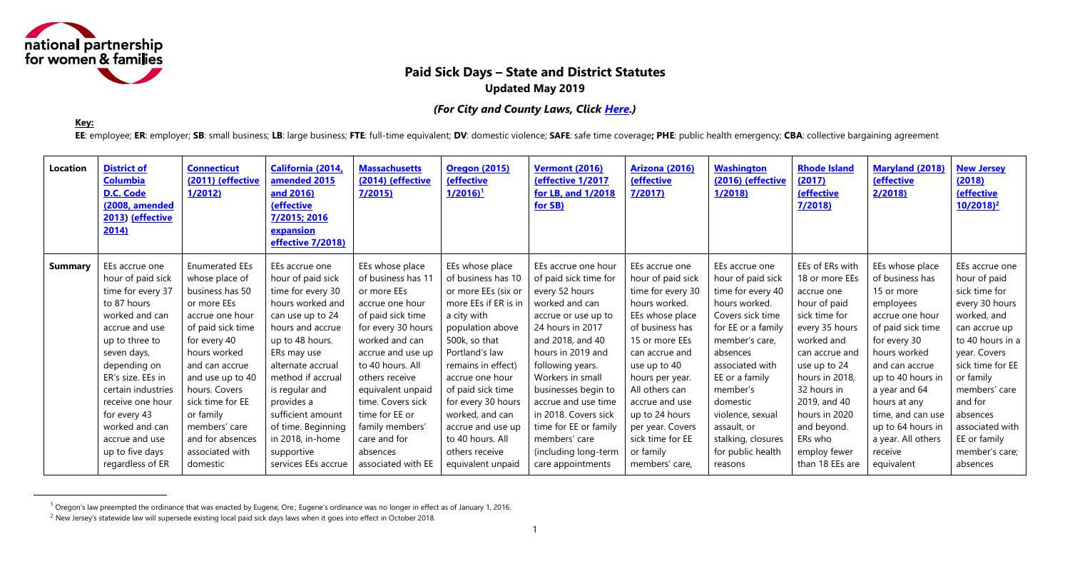<span id="page-0-0"></span>

# **Paid Sick Days – State and District Statutes Updated May 2019**

### *(For City and County Laws, Click [Here.](#page-10-0))*

**Key:**

 $\overline{a}$ 

EE: employee; ER: employer; SB: small business; LB: large business; FTE: full-time equivalent; DV: domestic violence; SAFE: safe time coverage; PHE: public health emergency; CBA: collective bargaining agreement

| Location       | <b>District of</b><br><b>Columbia</b><br>D.C. Code<br>(2008, amended<br>2013) (effective<br>2014) | <b>Connecticut</b><br>(2011) (effective<br>1/2012 | California (2014,<br>amended 2015<br>and 2016)<br><b>(effective</b><br>7/2015; 2016<br>expansion<br>effective 7/2018) | <b>Massachusetts</b><br>(2014) (effective<br>7/2015 | <b>Oregon (2015)</b><br><b>(effective</b><br>$1/2016$ <sup>1</sup> | <b>Vermont (2016)</b><br>(effective 1/2017<br>for LB, and 1/2018<br>for SB) | <b>Arizona (2016)</b><br><b>(effective</b><br>7/2017 | <b>Washington</b><br>(2016) (effective<br>1/2018 | <b>Rhode Island</b><br>(2017)<br><b>(effective</b><br>7/2018 | <b>Maryland (2018)</b><br><b>(effective</b><br>2/2018 | <b>New Jersey</b><br>(2018)<br><b>(effective</b><br>$10/2018$ <sup>2</sup> |
|----------------|---------------------------------------------------------------------------------------------------|---------------------------------------------------|-----------------------------------------------------------------------------------------------------------------------|-----------------------------------------------------|--------------------------------------------------------------------|-----------------------------------------------------------------------------|------------------------------------------------------|--------------------------------------------------|--------------------------------------------------------------|-------------------------------------------------------|----------------------------------------------------------------------------|
| <b>Summary</b> | EEs accrue one                                                                                    | <b>Enumerated EEs</b>                             | EEs accrue one                                                                                                        | EEs whose place                                     | EEs whose place                                                    | EEs accrue one hour                                                         | EEs accrue one                                       | EEs accrue one                                   | EEs of ERs with                                              | EEs whose place                                       | EEs accrue one                                                             |
|                | hour of paid sick                                                                                 | whose place of                                    | hour of paid sick                                                                                                     | of business has 11                                  | of business has 10                                                 | of paid sick time for                                                       | hour of paid sick                                    | hour of paid sick                                | 18 or more EEs                                               | of business has                                       | hour of paid                                                               |
|                | time for every 37                                                                                 | business has 50                                   | time for every 30                                                                                                     | or more EEs                                         | or more EEs (six or                                                | every 52 hours                                                              | time for every 30                                    | time for every 40                                | accrue one                                                   | 15 or more                                            | sick time for                                                              |
|                | to 87 hours                                                                                       | or more EEs                                       | hours worked and                                                                                                      | accrue one hour                                     | more EEs if ER is in                                               | worked and can                                                              | hours worked.                                        | hours worked.                                    | hour of paid                                                 | employees                                             | every 30 hours                                                             |
|                | worked and can                                                                                    | accrue one hour                                   | can use up to 24                                                                                                      | of paid sick time                                   | a city with                                                        | accrue or use up to                                                         | EEs whose place                                      | Covers sick time                                 | sick time for                                                | accrue one hour                                       | worked, and                                                                |
|                | accrue and use                                                                                    | of paid sick time                                 | hours and accrue                                                                                                      | for every 30 hours                                  | population above                                                   | 24 hours in 2017                                                            | of business has                                      | for EE or a family                               | every 35 hours                                               | of paid sick time                                     | can accrue up                                                              |
|                | up to three to                                                                                    | for every 40                                      | up to 48 hours.                                                                                                       | worked and can                                      | 500k, so that                                                      | and 2018, and 40                                                            | 15 or more EEs                                       | member's care,                                   | worked and                                                   | for every 30                                          | to 40 hours in a                                                           |
|                | seven days,                                                                                       | hours worked                                      | ERs may use                                                                                                           | accrue and use up                                   | Portland's law                                                     | hours in 2019 and                                                           | can accrue and                                       | absences                                         | can accrue and                                               | hours worked                                          | year. Covers                                                               |
|                | depending on                                                                                      | and can accrue                                    | alternate accrual                                                                                                     | to 40 hours. All                                    | remains in effect)                                                 | following years.                                                            | use up to 40                                         | associated with                                  | use up to 24                                                 | and can accrue                                        | sick time for EE                                                           |
|                | ER's size. EEs in                                                                                 | and use up to 40                                  | method if accrual                                                                                                     | others receive                                      | accrue one hour                                                    | Workers in small                                                            | hours per year.                                      | EE or a family                                   | hours in 2018,                                               | up to 40 hours in                                     | or family                                                                  |
|                | certain industries                                                                                | hours. Covers                                     | is regular and                                                                                                        | equivalent unpaid                                   | of paid sick time                                                  | businesses begin to                                                         | All others can                                       | member's                                         | 32 hours in                                                  | a year and 64                                         | members' care                                                              |
|                | receive one hour                                                                                  | sick time for EE                                  | provides a                                                                                                            | time. Covers sick                                   | for every 30 hours                                                 | accrue and use time                                                         | accrue and use                                       | domestic                                         | 2019, and 40                                                 | hours at any                                          | and for                                                                    |
|                | for every 43                                                                                      | or family                                         | sufficient amount                                                                                                     | time for EE or                                      | worked, and can                                                    | in 2018. Covers sick                                                        | up to 24 hours                                       | violence, sexual                                 | hours in 2020                                                | time, and can use                                     | absences                                                                   |
|                | worked and can                                                                                    | members' care                                     | of time. Beginning                                                                                                    | family members'                                     | accrue and use up                                                  | time for EE or family                                                       | per year. Covers                                     | assault, or                                      | and beyond.                                                  | up to 64 hours in                                     | associated with                                                            |
|                | accrue and use                                                                                    | and for absences                                  | in 2018, in-home                                                                                                      | care and for                                        | to 40 hours. All                                                   | members' care                                                               | sick time for EE                                     | stalking, closures                               | ERs who                                                      | a year. All others                                    | EE or family                                                               |
|                | up to five days                                                                                   | associated with                                   | supportive                                                                                                            | absences                                            | others receive                                                     | (including long-term                                                        | or family                                            | for public health                                | employ fewer                                                 | receive                                               | member's care;                                                             |
|                | regardless of ER                                                                                  | domestic                                          | services EEs accrue                                                                                                   | associated with EE                                  | equivalent unpaid                                                  | care appointments                                                           | members' care,                                       | reasons                                          | than 18 EEs are                                              | equivalent                                            | absences                                                                   |

 $1$  Oregon's law preempted the ordinance that was enacted by Eugene, Ore.; Eugene's ordinance was no longer in effect as of January 1, 2016.

 $2$  New Jersey's statewide law will supersede existing local paid sick days laws when it goes into effect in October 2018.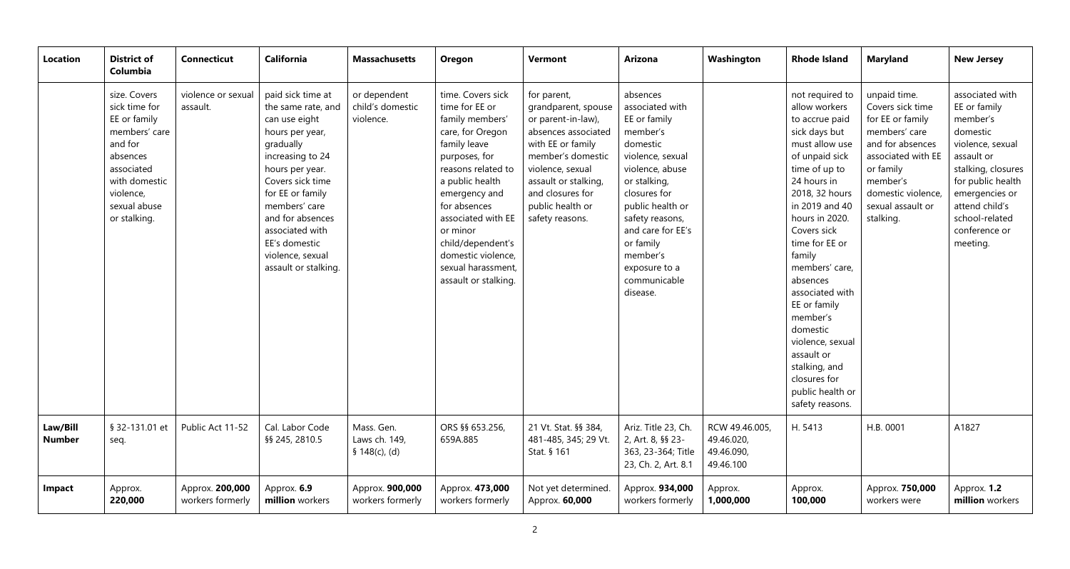| <b>Location</b>           | <b>District of</b><br>Columbia                                                                                                                                    | <b>Connecticut</b>                  | <b>California</b>                                                                                                                                                                                                                                                                            | <b>Massachusetts</b>                          | Oregon                                                                                                                                                                                                                                                                                                           | <b>Vermont</b>                                                                                                                                                                                                                   | <b>Arizona</b>                                                                                                                                                                                                                                                               | Washington                                              | <b>Rhode Island</b>                                                                                                                                                                                                                                                                                                                                                                                                                         | <b>Maryland</b>                                                                                                                                                                                  | <b>New Jersey</b>                                                                                                                                                                                                       |
|---------------------------|-------------------------------------------------------------------------------------------------------------------------------------------------------------------|-------------------------------------|----------------------------------------------------------------------------------------------------------------------------------------------------------------------------------------------------------------------------------------------------------------------------------------------|-----------------------------------------------|------------------------------------------------------------------------------------------------------------------------------------------------------------------------------------------------------------------------------------------------------------------------------------------------------------------|----------------------------------------------------------------------------------------------------------------------------------------------------------------------------------------------------------------------------------|------------------------------------------------------------------------------------------------------------------------------------------------------------------------------------------------------------------------------------------------------------------------------|---------------------------------------------------------|---------------------------------------------------------------------------------------------------------------------------------------------------------------------------------------------------------------------------------------------------------------------------------------------------------------------------------------------------------------------------------------------------------------------------------------------|--------------------------------------------------------------------------------------------------------------------------------------------------------------------------------------------------|-------------------------------------------------------------------------------------------------------------------------------------------------------------------------------------------------------------------------|
|                           | size. Covers<br>sick time for<br>EE or family<br>members' care<br>and for<br>absences<br>associated<br>with domestic<br>violence,<br>sexual abuse<br>or stalking. | violence or sexual<br>assault.      | paid sick time at<br>the same rate, and<br>can use eight<br>hours per year,<br>gradually<br>increasing to 24<br>hours per year.<br>Covers sick time<br>for EE or family<br>members' care<br>and for absences<br>associated with<br>EE's domestic<br>violence, sexual<br>assault or stalking. | or dependent<br>child's domestic<br>violence. | time. Covers sick<br>time for EE or<br>family members'<br>care, for Oregon<br>family leave<br>purposes, for<br>reasons related to<br>a public health<br>emergency and<br>for absences<br>associated with EE<br>or minor<br>child/dependent's<br>domestic violence,<br>sexual harassment,<br>assault or stalking. | for parent,<br>grandparent, spouse<br>or parent-in-law),<br>absences associated<br>with EE or family<br>member's domestic<br>violence, sexual<br>assault or stalking,<br>and closures for<br>public health or<br>safety reasons. | absences<br>associated with<br>EE or family<br>member's<br>domestic<br>violence, sexual<br>violence, abuse<br>or stalking,<br>closures for<br>public health or<br>safety reasons,<br>and care for EE's<br>or family<br>member's<br>exposure to a<br>communicable<br>disease. |                                                         | not required to<br>allow workers<br>to accrue paid<br>sick days but<br>must allow use<br>of unpaid sick<br>time of up to<br>24 hours in<br>2018, 32 hours<br>in 2019 and 40<br>hours in 2020.<br>Covers sick<br>time for EE or<br>family<br>members' care,<br>absences<br>associated with<br>EE or family<br>member's<br>domestic<br>violence, sexual<br>assault or<br>stalking, and<br>closures for<br>public health or<br>safety reasons. | unpaid time.<br>Covers sick time<br>for EE or family<br>members' care<br>and for absences<br>associated with EE<br>or family<br>member's<br>domestic violence,<br>sexual assault or<br>stalking. | associated with<br>EE or family<br>member's<br>domestic<br>violence, sexual<br>assault or<br>stalking, closures<br>for public health<br>emergencies or<br>attend child's<br>school-related<br>conference or<br>meeting. |
| Law/Bill<br><b>Number</b> | § 32-131.01 et<br>seq.                                                                                                                                            | Public Act 11-52                    | Cal. Labor Code<br>§§ 245, 2810.5                                                                                                                                                                                                                                                            | Mass. Gen.<br>Laws ch. 149,<br>\$148(c), (d)  | ORS §§ 653.256,<br>659A.885                                                                                                                                                                                                                                                                                      | 21 Vt. Stat. §§ 384,<br>481-485, 345; 29 Vt.<br>Stat. § 161                                                                                                                                                                      | Ariz. Title 23, Ch.<br>2, Art. 8, §§ 23-<br>363, 23-364; Title<br>23, Ch. 2, Art. 8.1                                                                                                                                                                                        | RCW 49.46.005,<br>49.46.020,<br>49.46.090,<br>49.46.100 | H. 5413                                                                                                                                                                                                                                                                                                                                                                                                                                     | H.B. 0001                                                                                                                                                                                        | A1827                                                                                                                                                                                                                   |
| Impact                    | Approx.<br>220,000                                                                                                                                                | Approx. 200,000<br>workers formerly | Approx. 6.9<br>million workers                                                                                                                                                                                                                                                               | Approx. 900,000<br>workers formerly           | Approx. 473,000<br>workers formerly                                                                                                                                                                                                                                                                              | Not yet determined.<br>Approx. 60,000                                                                                                                                                                                            | Approx. 934,000<br>workers formerly                                                                                                                                                                                                                                          | Approx.<br>1,000,000                                    | Approx.<br>100,000                                                                                                                                                                                                                                                                                                                                                                                                                          | Approx. 750,000<br>workers were                                                                                                                                                                  | Approx. 1.2<br>million workers                                                                                                                                                                                          |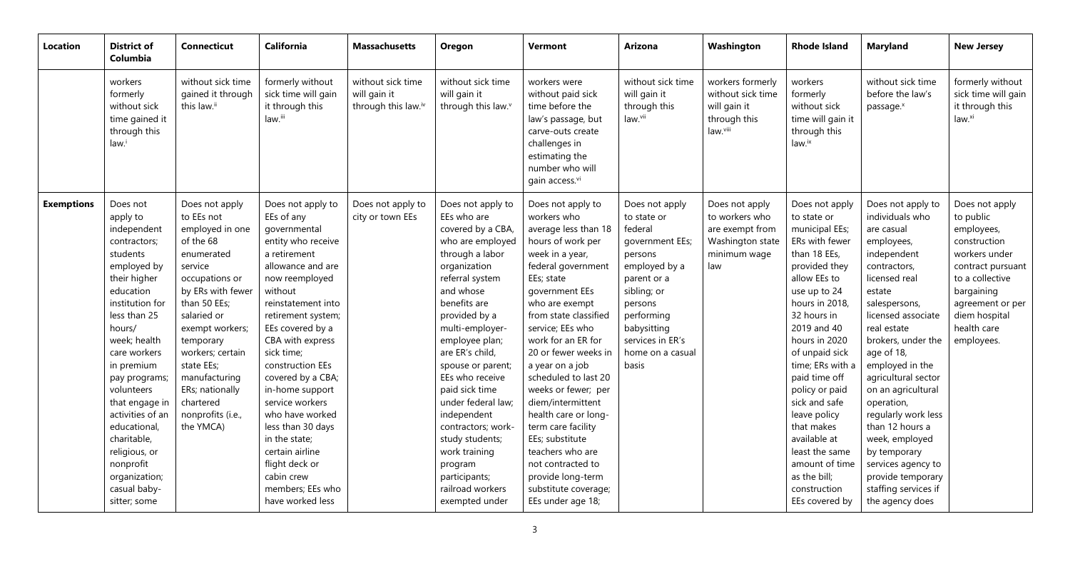| <b>Location</b>   | <b>District of</b><br>Columbia                                                                                                                                                                                                                                                                                                                                                            | <b>Connecticut</b>                                                                                                                                                                                                                                                                                               | <b>California</b>                                                                                                                                                                                                                                                                                                                                                                                                                                                            | <b>Massachusetts</b>                                     | Oregon                                                                                                                                                                                                                                                                                                                                                                                                                                                           | <b>Vermont</b>                                                                                                                                                                                                                                                                                                                                                                                                                                                                                                                         | <b>Arizona</b>                                                                                                                                                                                                 | Washington                                                                                     | <b>Rhode Island</b>                                                                                                                                                                                                                                                                                                                                                                                                              | <b>Maryland</b>                                                                                                                                                                                                                                                                                                                                                                                                                                                      | <b>New Jersey</b>                                                                                                                                                                                  |
|-------------------|-------------------------------------------------------------------------------------------------------------------------------------------------------------------------------------------------------------------------------------------------------------------------------------------------------------------------------------------------------------------------------------------|------------------------------------------------------------------------------------------------------------------------------------------------------------------------------------------------------------------------------------------------------------------------------------------------------------------|------------------------------------------------------------------------------------------------------------------------------------------------------------------------------------------------------------------------------------------------------------------------------------------------------------------------------------------------------------------------------------------------------------------------------------------------------------------------------|----------------------------------------------------------|------------------------------------------------------------------------------------------------------------------------------------------------------------------------------------------------------------------------------------------------------------------------------------------------------------------------------------------------------------------------------------------------------------------------------------------------------------------|----------------------------------------------------------------------------------------------------------------------------------------------------------------------------------------------------------------------------------------------------------------------------------------------------------------------------------------------------------------------------------------------------------------------------------------------------------------------------------------------------------------------------------------|----------------------------------------------------------------------------------------------------------------------------------------------------------------------------------------------------------------|------------------------------------------------------------------------------------------------|----------------------------------------------------------------------------------------------------------------------------------------------------------------------------------------------------------------------------------------------------------------------------------------------------------------------------------------------------------------------------------------------------------------------------------|----------------------------------------------------------------------------------------------------------------------------------------------------------------------------------------------------------------------------------------------------------------------------------------------------------------------------------------------------------------------------------------------------------------------------------------------------------------------|----------------------------------------------------------------------------------------------------------------------------------------------------------------------------------------------------|
|                   | workers<br>formerly<br>without sick<br>time gained it<br>through this<br>law.                                                                                                                                                                                                                                                                                                             | without sick time<br>gained it through<br>this law.ii                                                                                                                                                                                                                                                            | formerly without<br>sick time will gain<br>it through this<br>law.iii                                                                                                                                                                                                                                                                                                                                                                                                        | without sick time<br>will gain it<br>through this law.iv | without sick time<br>will gain it<br>through this law. <sup>v</sup>                                                                                                                                                                                                                                                                                                                                                                                              | workers were<br>without paid sick<br>time before the<br>law's passage, but<br>carve-outs create<br>challenges in<br>estimating the<br>number who will<br>gain access.vi                                                                                                                                                                                                                                                                                                                                                                | without sick time<br>will gain it<br>through this<br>law.vii                                                                                                                                                   | workers formerly<br>without sick time<br>will gain it<br>through this<br>law.viii              | workers<br>formerly<br>without sick<br>time will gain it<br>through this<br>law <sup>ix</sup>                                                                                                                                                                                                                                                                                                                                    | without sick time<br>before the law's<br>passage. <sup>x</sup>                                                                                                                                                                                                                                                                                                                                                                                                       | formerly without<br>sick time will gain<br>it through this<br>law.xi                                                                                                                               |
| <b>Exemptions</b> | Does not<br>apply to<br>independent<br>contractors;<br>students<br>employed by<br>their higher<br>education<br>institution for<br>less than 25<br>hours/<br>week; health<br>care workers<br>in premium<br>pay programs;<br>volunteers<br>that engage in<br>activities of an<br>educational,<br>charitable,<br>religious, or<br>nonprofit<br>organization;<br>casual baby-<br>sitter; some | Does not apply<br>to EEs not<br>employed in one<br>of the 68<br>enumerated<br>service<br>occupations or<br>by ERs with fewer<br>than 50 EEs;<br>salaried or<br>exempt workers;<br>temporary<br>workers; certain<br>state EEs;<br>manufacturing<br>ERs; nationally<br>chartered<br>nonprofits (i.e.,<br>the YMCA) | Does not apply to<br>EEs of any<br>governmental<br>entity who receive<br>a retirement<br>allowance and are<br>now reemployed<br>without<br>reinstatement into<br>retirement system;<br>EEs covered by a<br>CBA with express<br>sick time;<br>construction EEs<br>covered by a CBA;<br>in-home support<br>service workers<br>who have worked<br>less than 30 days<br>in the state;<br>certain airline<br>flight deck or<br>cabin crew<br>members; EEs who<br>have worked less | Does not apply to<br>city or town EEs                    | Does not apply to<br>EEs who are<br>covered by a CBA,<br>who are employed<br>through a labor<br>organization<br>referral system<br>and whose<br>benefits are<br>provided by a<br>multi-employer-<br>employee plan;<br>are ER's child,<br>spouse or parent;<br>EEs who receive<br>paid sick time<br>under federal law;<br>independent<br>contractors; work-<br>study students;<br>work training<br>program<br>participants;<br>railroad workers<br>exempted under | Does not apply to<br>workers who<br>average less than 18<br>hours of work per<br>week in a year,<br>federal government<br>EEs; state<br>government EEs<br>who are exempt<br>from state classified<br>service; EEs who<br>work for an ER for<br>20 or fewer weeks in<br>a year on a job<br>scheduled to last 20<br>weeks or fewer; per<br>diem/intermittent<br>health care or long-<br>term care facility<br>EEs; substitute<br>teachers who are<br>not contracted to<br>provide long-term<br>substitute coverage;<br>EEs under age 18; | Does not apply<br>to state or<br>federal<br>government EEs;<br>persons<br>employed by a<br>parent or a<br>sibling; or<br>persons<br>performing<br>babysitting<br>services in ER's<br>home on a casual<br>basis | Does not apply<br>to workers who<br>are exempt from<br>Washington state<br>minimum wage<br>law | Does not apply<br>to state or<br>municipal EEs;<br>ERs with fewer<br>than 18 EEs,<br>provided they<br>allow EEs to<br>use up to 24<br>hours in 2018<br>32 hours in<br>2019 and 40<br>hours in 2020<br>of unpaid sick<br>time; ERs with a<br>paid time off<br>policy or paid<br>sick and safe<br>leave policy<br>that makes<br>available at<br>least the same<br>amount of time<br>as the bill;<br>construction<br>EEs covered by | Does not apply to<br>individuals who<br>are casual<br>employees,<br>independent<br>contractors,<br>licensed real<br>estate<br>salespersons,<br>licensed associate<br>real estate<br>brokers, under the<br>age of 18,<br>employed in the<br>agricultural sector<br>on an agricultural<br>operation,<br>regularly work less<br>than 12 hours a<br>week, employed<br>by temporary<br>services agency to<br>provide temporary<br>staffing services if<br>the agency does | Does not apply<br>to public<br>employees,<br>construction<br>workers under<br>contract pursuant<br>to a collective<br>bargaining<br>agreement or per<br>diem hospital<br>health care<br>employees. |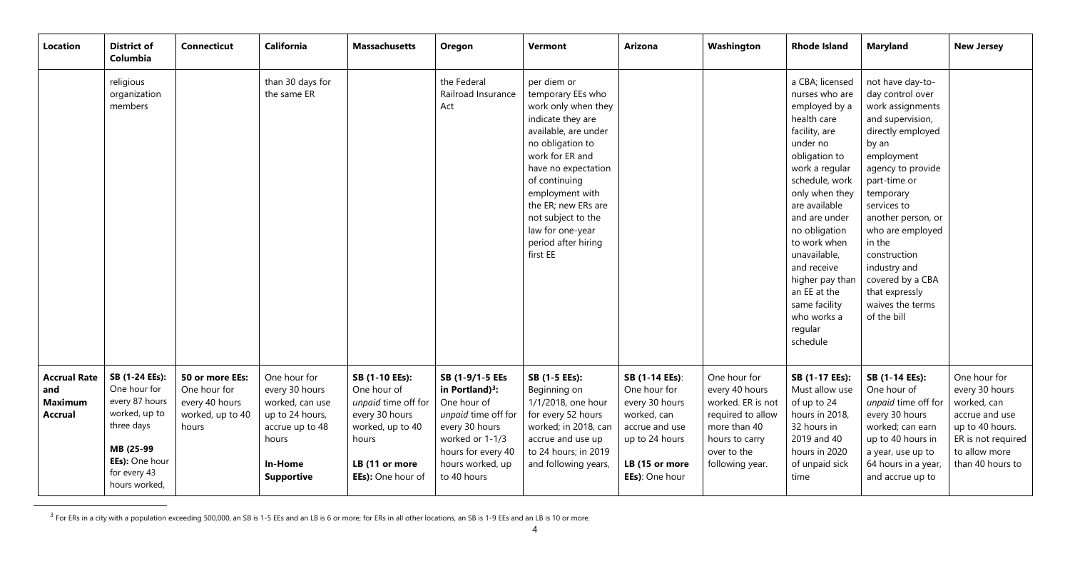| Location                                                       | <b>District of</b><br>Columbia                                                                                                                  | <b>Connecticut</b>                                                             | California                                                                                                                       | <b>Massachusetts</b>                                                                                                                       | Oregon                                                                                                                                                                    | <b>Vermont</b>                                                                                                                                                                                                                                                                                             | <b>Arizona</b>                                                                                                                          | Washington                                                                                                                                   | <b>Rhode Island</b>                                                                                                                                                                                                                                                                                                                                               | <b>Maryland</b>                                                                                                                                                                                                                                                                                                                                        | <b>New Jersey</b>                                                                                                                             |
|----------------------------------------------------------------|-------------------------------------------------------------------------------------------------------------------------------------------------|--------------------------------------------------------------------------------|----------------------------------------------------------------------------------------------------------------------------------|--------------------------------------------------------------------------------------------------------------------------------------------|---------------------------------------------------------------------------------------------------------------------------------------------------------------------------|------------------------------------------------------------------------------------------------------------------------------------------------------------------------------------------------------------------------------------------------------------------------------------------------------------|-----------------------------------------------------------------------------------------------------------------------------------------|----------------------------------------------------------------------------------------------------------------------------------------------|-------------------------------------------------------------------------------------------------------------------------------------------------------------------------------------------------------------------------------------------------------------------------------------------------------------------------------------------------------------------|--------------------------------------------------------------------------------------------------------------------------------------------------------------------------------------------------------------------------------------------------------------------------------------------------------------------------------------------------------|-----------------------------------------------------------------------------------------------------------------------------------------------|
|                                                                | religious<br>organization<br>members                                                                                                            |                                                                                | than 30 days for<br>the same ER                                                                                                  |                                                                                                                                            | the Federal<br>Railroad Insurance<br>Act                                                                                                                                  | per diem or<br>temporary EEs who<br>work only when they<br>indicate they are<br>available, are under<br>no obligation to<br>work for ER and<br>have no expectation<br>of continuing<br>employment with<br>the ER; new ERs are<br>not subject to the<br>law for one-year<br>period after hiring<br>first EE |                                                                                                                                         |                                                                                                                                              | a CBA; licensed<br>nurses who are<br>employed by a<br>health care<br>facility, are<br>under no<br>obligation to<br>work a regular<br>schedule, work<br>only when they<br>are available<br>and are under<br>no obligation<br>to work when<br>unavailable,<br>and receive<br>higher pay than<br>an EE at the<br>same facility<br>who works a<br>regular<br>schedule | not have day-to-<br>day control over<br>work assignments<br>and supervision,<br>directly employed<br>by an<br>employment<br>agency to provide<br>part-time or<br>temporary<br>services to<br>another person, or<br>who are employed<br>in the<br>construction<br>industry and<br>covered by a CBA<br>that expressly<br>waives the terms<br>of the bill |                                                                                                                                               |
| <b>Accrual Rate</b><br>and<br><b>Maximum</b><br><b>Accrual</b> | SB (1-24 EEs):<br>One hour for<br>every 87 hours<br>worked, up to<br>three days<br>MB (25-99<br>EEs): One hour<br>for every 43<br>hours worked, | 50 or more EEs:<br>One hour for<br>every 40 hours<br>worked, up to 40<br>hours | One hour for<br>every 30 hours<br>worked, can use<br>up to 24 hours,<br>accrue up to 48<br>hours<br>In-Home<br><b>Supportive</b> | SB (1-10 EEs):<br>One hour of<br>unpaid time off for<br>every 30 hours<br>worked, up to 40<br>hours<br>LB (11 or more<br>EEs): One hour of | SB (1-9/1-5 EEs<br>in Portland) $3$ :<br>One hour of<br>unpaid time off for<br>every 30 hours<br>worked or 1-1/3<br>hours for every 40<br>hours worked, up<br>to 40 hours | SB (1-5 EEs):<br>Beginning on<br>1/1/2018, one hour<br>for every 52 hours<br>worked; in 2018, can<br>accrue and use up<br>to 24 hours; in 2019<br>and following years,                                                                                                                                     | SB (1-14 EEs):<br>One hour for<br>every 30 hours<br>worked, can<br>accrue and use<br>up to 24 hours<br>LB (15 or more<br>EEs): One hour | One hour for<br>every 40 hours<br>worked. ER is not<br>required to allow<br>more than 40<br>hours to carry<br>over to the<br>following year. | SB (1-17 EEs):<br>Must allow use<br>of up to 24<br>hours in 2018,<br>32 hours in<br>2019 and 40<br>hours in 2020<br>of unpaid sick<br>time                                                                                                                                                                                                                        | SB (1-14 EEs):<br>One hour of<br>unpaid time off for<br>every 30 hours<br>worked; can earn<br>up to 40 hours in<br>a year, use up to<br>64 hours in a year,<br>and accrue up to                                                                                                                                                                        | One hour for<br>every 30 hours<br>worked, can<br>accrue and use<br>up to 40 hours.<br>ER is not required<br>to allow more<br>than 40 hours to |

<sup>&</sup>lt;sup>3</sup> For ERs in a city with a population exceeding 500,000, an SB is 1-5 EEs and an LB is 6 or more; for ERs in all other locations, an SB is 1-9 EEs and an LB is 10 or more.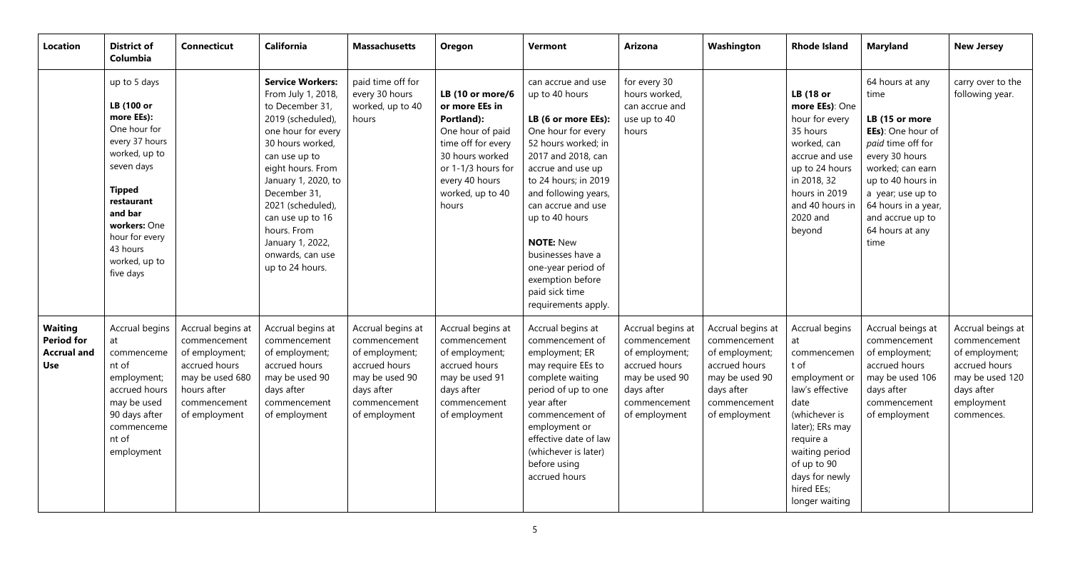| <b>Location</b>                                                         | <b>District of</b><br>Columbia                                                                                                                                                                                                  | <b>Connecticut</b>                                                                                                                      | California                                                                                                                                                                                                                                                                                                                      | <b>Massachusetts</b>                                                                                                                  | Oregon                                                                                                                                                                             | <b>Vermont</b>                                                                                                                                                                                                                                                                                                                                                          | <b>Arizona</b>                                                                                                                        | Washington                                                                                                                            | <b>Rhode Island</b>                                                                                                                                                                                                         | <b>Maryland</b>                                                                                                                                                                                                                           | <b>New Jersey</b>                                                                                                                 |
|-------------------------------------------------------------------------|---------------------------------------------------------------------------------------------------------------------------------------------------------------------------------------------------------------------------------|-----------------------------------------------------------------------------------------------------------------------------------------|---------------------------------------------------------------------------------------------------------------------------------------------------------------------------------------------------------------------------------------------------------------------------------------------------------------------------------|---------------------------------------------------------------------------------------------------------------------------------------|------------------------------------------------------------------------------------------------------------------------------------------------------------------------------------|-------------------------------------------------------------------------------------------------------------------------------------------------------------------------------------------------------------------------------------------------------------------------------------------------------------------------------------------------------------------------|---------------------------------------------------------------------------------------------------------------------------------------|---------------------------------------------------------------------------------------------------------------------------------------|-----------------------------------------------------------------------------------------------------------------------------------------------------------------------------------------------------------------------------|-------------------------------------------------------------------------------------------------------------------------------------------------------------------------------------------------------------------------------------------|-----------------------------------------------------------------------------------------------------------------------------------|
|                                                                         | up to 5 days<br>LB (100 or<br>more EEs):<br>One hour for<br>every 37 hours<br>worked, up to<br>seven days<br><b>Tipped</b><br>restaurant<br>and bar<br>workers: One<br>hour for every<br>43 hours<br>worked, up to<br>five days |                                                                                                                                         | <b>Service Workers:</b><br>From July 1, 2018,<br>to December 31,<br>2019 (scheduled),<br>one hour for every<br>30 hours worked,<br>can use up to<br>eight hours. From<br>January 1, 2020, to<br>December 31,<br>2021 (scheduled),<br>can use up to 16<br>hours. From<br>January 1, 2022,<br>onwards, can use<br>up to 24 hours. | paid time off for<br>every 30 hours<br>worked, up to 40<br>hours                                                                      | LB (10 or more/6<br>or more EEs in<br>Portland):<br>One hour of paid<br>time off for every<br>30 hours worked<br>or 1-1/3 hours for<br>every 40 hours<br>worked, up to 40<br>hours | can accrue and use<br>up to 40 hours<br>LB (6 or more EEs):<br>One hour for every<br>52 hours worked; in<br>2017 and 2018, can<br>accrue and use up<br>to 24 hours; in 2019<br>and following years,<br>can accrue and use<br>up to 40 hours<br><b>NOTE: New</b><br>businesses have a<br>one-year period of<br>exemption before<br>paid sick time<br>requirements apply. | for every 30<br>hours worked,<br>can accrue and<br>use up to 40<br>hours                                                              |                                                                                                                                       | <b>LB</b> (18 or<br>more EEs): One<br>hour for every<br>35 hours<br>worked, can<br>accrue and use<br>up to 24 hours<br>in 2018, 32<br>hours in 2019<br>and 40 hours in<br>2020 and<br>beyond                                | 64 hours at any<br>time<br>LB (15 or more<br>EEs): One hour of<br>paid time off for<br>every 30 hours<br>worked; can earn<br>up to 40 hours in<br>a year; use up to<br>64 hours in a year,<br>and accrue up to<br>64 hours at any<br>time | carry over to the<br>following year.                                                                                              |
| <b>Waiting</b><br><b>Period for</b><br><b>Accrual and</b><br><b>Use</b> | Accrual begins<br>at<br>commenceme<br>nt of<br>employment;<br>accrued hours<br>may be used<br>90 days after<br>commenceme<br>nt of<br>employment                                                                                | Accrual begins at<br>commencement<br>of employment;<br>accrued hours<br>may be used 680<br>hours after<br>commencement<br>of employment | Accrual begins at<br>commencement<br>of employment;<br>accrued hours<br>may be used 90<br>days after<br>commencement<br>of employment                                                                                                                                                                                           | Accrual begins at<br>commencement<br>of employment;<br>accrued hours<br>may be used 90<br>days after<br>commencement<br>of employment | Accrual begins at<br>commencement<br>of employment;<br>accrued hours<br>may be used 91<br>days after<br>commencement<br>of employment                                              | Accrual begins at<br>commencement of<br>employment; ER<br>may require EEs to<br>complete waiting<br>period of up to one<br>year after<br>commencement of<br>employment or<br>effective date of law<br>(whichever is later)<br>before using<br>accrued hours                                                                                                             | Accrual begins at<br>commencement<br>of employment;<br>accrued hours<br>may be used 90<br>days after<br>commencement<br>of employment | Accrual begins at<br>commencement<br>of employment;<br>accrued hours<br>may be used 90<br>days after<br>commencement<br>of employment | Accrual begins<br>at<br>commencemen<br>t of<br>employment or<br>law's effective<br>date<br>(whichever is<br>later); ERs may<br>require a<br>waiting period<br>of up to 90<br>days for newly<br>hired EEs;<br>longer waiting | Accrual beings at<br>commencement<br>of employment;<br>accrued hours<br>may be used 106<br>days after<br>commencement<br>of employment                                                                                                    | Accrual beings at<br>commencement<br>of employment;<br>accrued hours<br>may be used 120<br>days after<br>employment<br>commences. |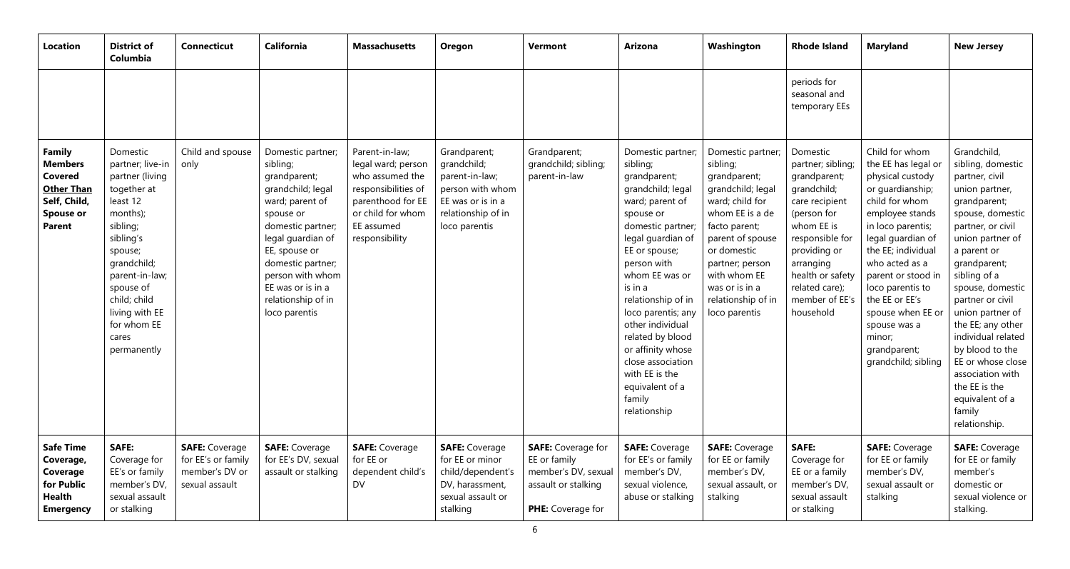| <b>Location</b>                                                                                                      | <b>District of</b><br>Columbia                                                                                                                                                                                                                    | <b>Connecticut</b>                                                              | California                                                                                                                                                                                                                                                         | <b>Massachusetts</b>                                                                                                                                     | Oregon                                                                                                                        | Vermont                                                                                                      | <b>Arizona</b>                                                                                                                                                                                                                                                                                                                                                                                         | Washington                                                                                                                                                                                                                                               | <b>Rhode Island</b>                                                                                                                                                                                                              | <b>Maryland</b>                                                                                                                                                                                                                                                                                                                                        | <b>New Jersey</b>                                                                                                                                                                                                                                                                                                                                                                                                                  |
|----------------------------------------------------------------------------------------------------------------------|---------------------------------------------------------------------------------------------------------------------------------------------------------------------------------------------------------------------------------------------------|---------------------------------------------------------------------------------|--------------------------------------------------------------------------------------------------------------------------------------------------------------------------------------------------------------------------------------------------------------------|----------------------------------------------------------------------------------------------------------------------------------------------------------|-------------------------------------------------------------------------------------------------------------------------------|--------------------------------------------------------------------------------------------------------------|--------------------------------------------------------------------------------------------------------------------------------------------------------------------------------------------------------------------------------------------------------------------------------------------------------------------------------------------------------------------------------------------------------|----------------------------------------------------------------------------------------------------------------------------------------------------------------------------------------------------------------------------------------------------------|----------------------------------------------------------------------------------------------------------------------------------------------------------------------------------------------------------------------------------|--------------------------------------------------------------------------------------------------------------------------------------------------------------------------------------------------------------------------------------------------------------------------------------------------------------------------------------------------------|------------------------------------------------------------------------------------------------------------------------------------------------------------------------------------------------------------------------------------------------------------------------------------------------------------------------------------------------------------------------------------------------------------------------------------|
|                                                                                                                      |                                                                                                                                                                                                                                                   |                                                                                 |                                                                                                                                                                                                                                                                    |                                                                                                                                                          |                                                                                                                               |                                                                                                              |                                                                                                                                                                                                                                                                                                                                                                                                        |                                                                                                                                                                                                                                                          | periods for<br>seasonal and<br>temporary EEs                                                                                                                                                                                     |                                                                                                                                                                                                                                                                                                                                                        |                                                                                                                                                                                                                                                                                                                                                                                                                                    |
| Family<br><b>Members</b><br><b>Covered</b><br><b>Other Than</b><br>Self, Child,<br><b>Spouse or</b><br><b>Parent</b> | Domestic<br>partner; live-in<br>partner (living<br>together at<br>least 12<br>months);<br>sibling;<br>sibling's<br>spouse;<br>grandchild;<br>parent-in-law;<br>spouse of<br>child; child<br>living with EE<br>for whom EE<br>cares<br>permanently | Child and spouse<br>only                                                        | Domestic partner;<br>sibling;<br>grandparent;<br>grandchild; legal<br>ward; parent of<br>spouse or<br>domestic partner;<br>legal guardian of<br>EE, spouse or<br>domestic partner;<br>person with whom<br>EE was or is in a<br>relationship of in<br>loco parentis | Parent-in-law;<br>legal ward; person<br>who assumed the<br>responsibilities of<br>parenthood for EE<br>or child for whom<br>EE assumed<br>responsibility | Grandparent;<br>grandchild;<br>parent-in-law;<br>person with whom<br>EE was or is in a<br>relationship of in<br>loco parentis | Grandparent;<br>grandchild; sibling;<br>parent-in-law                                                        | Domestic partner;<br>sibling;<br>grandparent;<br>grandchild; legal<br>ward; parent of<br>spouse or<br>domestic partner;<br>legal guardian of<br>EE or spouse;<br>person with<br>whom EE was or<br>is in a<br>relationship of in<br>loco parentis; any<br>other individual<br>related by blood<br>or affinity whose<br>close association<br>with EE is the<br>equivalent of a<br>family<br>relationship | Domestic partner;<br>sibling;<br>grandparent;<br>grandchild; legal<br>ward; child for<br>whom EE is a de<br>facto parent;<br>parent of spouse<br>or domestic<br>partner; person<br>with whom EE<br>was or is in a<br>relationship of in<br>loco parentis | Domestic<br>partner; sibling;<br>grandparent;<br>grandchild;<br>care recipient<br>(person for<br>whom EE is<br>responsible for<br>providing or<br>arranging<br>health or safety<br>related care);<br>member of EE's<br>household | Child for whom<br>the EE has legal or<br>physical custody<br>or guardianship;<br>child for whom<br>employee stands<br>in loco parentis;<br>legal guardian of<br>the EE; individual<br>who acted as a<br>parent or stood in<br>loco parentis to<br>the EE or EE's<br>spouse when EE or<br>spouse was a<br>minor;<br>grandparent;<br>grandchild; sibling | Grandchild,<br>sibling, domestic<br>partner, civil<br>union partner,<br>grandparent;<br>spouse, domestic<br>partner, or civil<br>union partner of<br>a parent or<br>grandparent;<br>sibling of a<br>spouse, domestic<br>partner or civil<br>union partner of<br>the EE; any other<br>individual related<br>by blood to the<br>EE or whose close<br>association with<br>the EE is the<br>equivalent of a<br>family<br>relationship. |
| <b>Safe Time</b><br>Coverage,<br>Coverage<br>for Public<br><b>Health</b><br><b>Emergency</b>                         | <b>SAFE:</b><br>Coverage for<br>EE's or family<br>member's DV,<br>sexual assault<br>or stalking                                                                                                                                                   | <b>SAFE: Coverage</b><br>for EE's or family<br>member's DV or<br>sexual assault | <b>SAFE: Coverage</b><br>for EE's DV, sexual<br>assault or stalking                                                                                                                                                                                                | <b>SAFE: Coverage</b><br>for EE or<br>dependent child's<br>DV                                                                                            | <b>SAFE:</b> Coverage<br>for EE or minor<br>child/dependent's<br>DV, harassment,<br>sexual assault or<br>stalking             | <b>SAFE:</b> Coverage for<br>EE or family<br>member's DV, sexual<br>assault or stalking<br>PHE: Coverage for | <b>SAFE: Coverage</b><br>for EE's or family<br>member's DV,<br>sexual violence,<br>abuse or stalking                                                                                                                                                                                                                                                                                                   | <b>SAFE:</b> Coverage<br>for EE or family<br>member's DV,<br>sexual assault, or<br>stalking                                                                                                                                                              | <b>SAFE:</b><br>Coverage for<br>EE or a family<br>member's DV,<br>sexual assault<br>or stalking                                                                                                                                  | <b>SAFE: Coverage</b><br>for EE or family<br>member's DV,<br>sexual assault or<br>stalking                                                                                                                                                                                                                                                             | <b>SAFE: Coverage</b><br>for EE or family<br>member's<br>domestic or<br>sexual violence or<br>stalking.                                                                                                                                                                                                                                                                                                                            |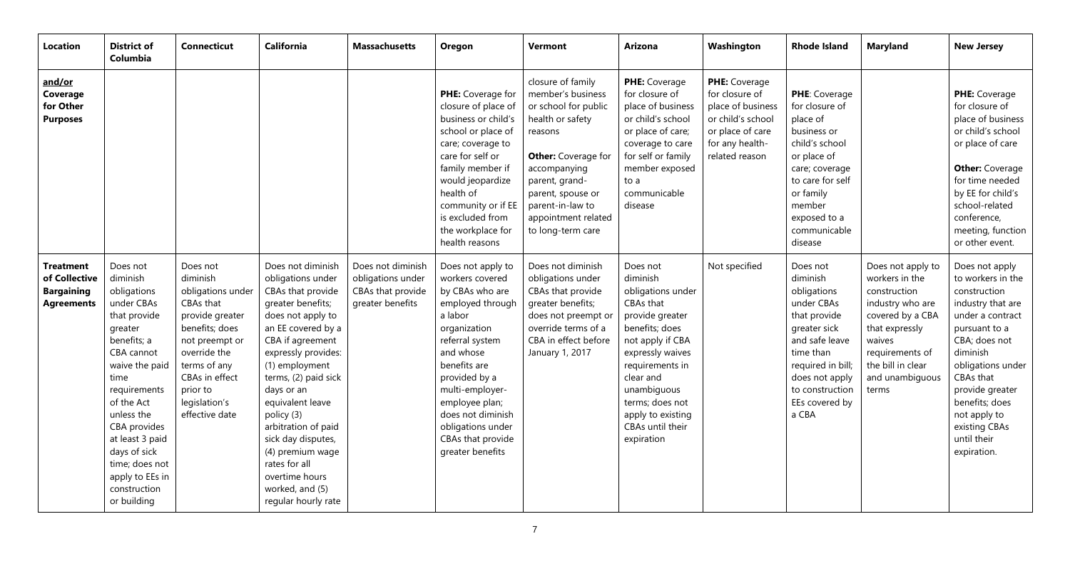| Location                                                                    | <b>District of</b><br>Columbia                                                                                                                                                                                                                                                                         | <b>Connecticut</b>                                                                                                                                                                                             | <b>California</b>                                                                                                                                                                                                                                                                                                                                                                                              | <b>Massachusetts</b>                                                            | Oregon                                                                                                                                                                                                                                                                                          | <b>Vermont</b>                                                                                                                                                                                                                                     | <b>Arizona</b>                                                                                                                                                                                                                                               | Washington                                                                                                                         | <b>Rhode Island</b>                                                                                                                                                                                   | <b>Maryland</b>                                                                                                                                                                             | <b>New Jersey</b>                                                                                                                                                                                                                                                                |
|-----------------------------------------------------------------------------|--------------------------------------------------------------------------------------------------------------------------------------------------------------------------------------------------------------------------------------------------------------------------------------------------------|----------------------------------------------------------------------------------------------------------------------------------------------------------------------------------------------------------------|----------------------------------------------------------------------------------------------------------------------------------------------------------------------------------------------------------------------------------------------------------------------------------------------------------------------------------------------------------------------------------------------------------------|---------------------------------------------------------------------------------|-------------------------------------------------------------------------------------------------------------------------------------------------------------------------------------------------------------------------------------------------------------------------------------------------|----------------------------------------------------------------------------------------------------------------------------------------------------------------------------------------------------------------------------------------------------|--------------------------------------------------------------------------------------------------------------------------------------------------------------------------------------------------------------------------------------------------------------|------------------------------------------------------------------------------------------------------------------------------------|-------------------------------------------------------------------------------------------------------------------------------------------------------------------------------------------------------|---------------------------------------------------------------------------------------------------------------------------------------------------------------------------------------------|----------------------------------------------------------------------------------------------------------------------------------------------------------------------------------------------------------------------------------------------------------------------------------|
| and/or<br>Coverage<br>for Other<br><b>Purposes</b>                          |                                                                                                                                                                                                                                                                                                        |                                                                                                                                                                                                                |                                                                                                                                                                                                                                                                                                                                                                                                                |                                                                                 | PHE: Coverage for<br>closure of place of<br>business or child's<br>school or place of<br>care; coverage to<br>care for self or<br>family member if<br>would jeopardize<br>health of<br>community or if EE<br>is excluded from<br>the workplace for<br>health reasons                            | closure of family<br>member's business<br>or school for public<br>health or safety<br>reasons<br><b>Other:</b> Coverage for<br>accompanying<br>parent, grand-<br>parent, spouse or<br>parent-in-law to<br>appointment related<br>to long-term care | PHE: Coverage<br>for closure of<br>place of business<br>or child's school<br>or place of care;<br>coverage to care<br>for self or family<br>member exposed<br>to a<br>communicable<br>disease                                                                | PHE: Coverage<br>for closure of<br>place of business<br>or child's school<br>or place of care<br>for any health-<br>related reason | PHE: Coverage<br>for closure of<br>place of<br>business or<br>child's school<br>or place of<br>care; coverage<br>to care for self<br>or family<br>member<br>exposed to a<br>communicable<br>disease   |                                                                                                                                                                                             | PHE: Coverage<br>for closure of<br>place of business<br>or child's school<br>or place of care<br><b>Other: Coverage</b><br>for time needed<br>by EE for child's<br>school-related<br>conference,<br>meeting, function<br>or other event.                                         |
| <b>Treatment</b><br>of Collective<br><b>Bargaining</b><br><b>Agreements</b> | Does not<br>diminish<br>obligations<br>under CBAs<br>that provide<br>greater<br>benefits; a<br>CBA cannot<br>waive the paid<br>time<br>requirements<br>of the Act<br>unless the<br>CBA provides<br>at least 3 paid<br>days of sick<br>time; does not<br>apply to EEs in<br>construction<br>or building | Does not<br>diminish<br>obligations under<br>CBAs that<br>provide greater<br>benefits; does<br>not preempt or<br>override the<br>terms of any<br>CBAs in effect<br>prior to<br>legislation's<br>effective date | Does not diminish<br>obligations under<br>CBAs that provide<br>greater benefits;<br>does not apply to<br>an EE covered by a<br>CBA if agreement<br>expressly provides:<br>(1) employment<br>terms, (2) paid sick<br>days or an<br>equivalent leave<br>policy (3)<br>arbitration of paid<br>sick day disputes,<br>(4) premium wage<br>rates for all<br>overtime hours<br>worked, and (5)<br>regular hourly rate | Does not diminish<br>obligations under<br>CBAs that provide<br>greater benefits | Does not apply to<br>workers covered<br>by CBAs who are<br>employed through<br>a labor<br>organization<br>referral system<br>and whose<br>benefits are<br>provided by a<br>multi-employer-<br>employee plan;<br>does not diminish<br>obligations under<br>CBAs that provide<br>greater benefits | Does not diminish<br>obligations under<br>CBAs that provide<br>greater benefits;<br>does not preempt or<br>override terms of a<br>CBA in effect before<br>January 1, 2017                                                                          | Does not<br>diminish<br>obligations under<br>CBAs that<br>provide greater<br>benefits; does<br>not apply if CBA<br>expressly waives<br>requirements in<br>clear and<br>unambiguous<br>terms; does not<br>apply to existing<br>CBAs until their<br>expiration | Not specified                                                                                                                      | Does not<br>diminish<br>obligations<br>under CBAs<br>that provide<br>greater sick<br>and safe leave<br>time than<br>required in bill;<br>does not apply<br>to construction<br>EEs covered by<br>a CBA | Does not apply to<br>workers in the<br>construction<br>industry who are<br>covered by a CBA<br>that expressly<br>waives<br>requirements of<br>the bill in clear<br>and unambiguous<br>terms | Does not apply<br>to workers in the<br>construction<br>industry that are<br>under a contract<br>pursuant to a<br>CBA; does not<br>diminish<br>obligations under<br>CBAs that<br>provide greater<br>benefits; does<br>not apply to<br>existing CBAs<br>until their<br>expiration. |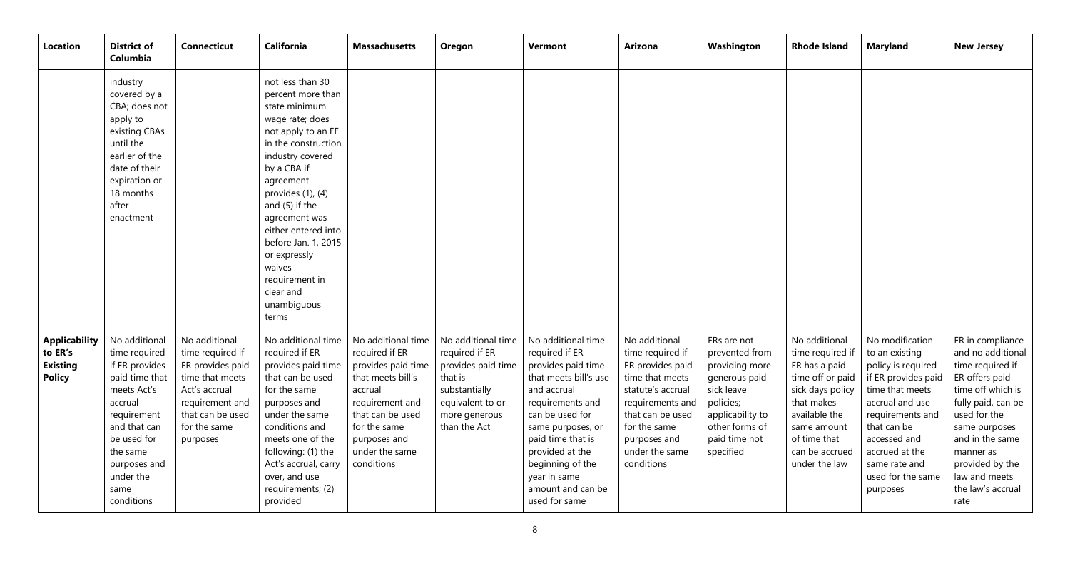| Location                                                            | <b>District of</b><br>Columbia                                                                                                                                                                            | <b>Connecticut</b>                                                                                                                                           | <b>California</b>                                                                                                                                                                                                                                                                                                                                                  | <b>Massachusetts</b>                                                                                                                                                                              | Oregon                                                                                                                                      | <b>Vermont</b>                                                                                                                                                                                                                                                                   | <b>Arizona</b>                                                                                                                                                                                        | Washington                                                                                                                                                      | <b>Rhode Island</b>                                                                                                                                                                         | <b>Maryland</b>                                                                                                                                                                                                                             | <b>New Jersey</b>                                                                                                                                                                                                                                        |
|---------------------------------------------------------------------|-----------------------------------------------------------------------------------------------------------------------------------------------------------------------------------------------------------|--------------------------------------------------------------------------------------------------------------------------------------------------------------|--------------------------------------------------------------------------------------------------------------------------------------------------------------------------------------------------------------------------------------------------------------------------------------------------------------------------------------------------------------------|---------------------------------------------------------------------------------------------------------------------------------------------------------------------------------------------------|---------------------------------------------------------------------------------------------------------------------------------------------|----------------------------------------------------------------------------------------------------------------------------------------------------------------------------------------------------------------------------------------------------------------------------------|-------------------------------------------------------------------------------------------------------------------------------------------------------------------------------------------------------|-----------------------------------------------------------------------------------------------------------------------------------------------------------------|---------------------------------------------------------------------------------------------------------------------------------------------------------------------------------------------|---------------------------------------------------------------------------------------------------------------------------------------------------------------------------------------------------------------------------------------------|----------------------------------------------------------------------------------------------------------------------------------------------------------------------------------------------------------------------------------------------------------|
|                                                                     | industry<br>covered by a<br>CBA; does not<br>apply to<br>existing CBAs<br>until the<br>earlier of the<br>date of their<br>expiration or<br>18 months<br>after<br>enactment                                |                                                                                                                                                              | not less than 30<br>percent more than<br>state minimum<br>wage rate; does<br>not apply to an EE<br>in the construction<br>industry covered<br>by a CBA if<br>agreement<br>provides $(1)$ , $(4)$<br>and (5) if the<br>agreement was<br>either entered into<br>before Jan. 1, 2015<br>or expressly<br>waives<br>requirement in<br>clear and<br>unambiguous<br>terms |                                                                                                                                                                                                   |                                                                                                                                             |                                                                                                                                                                                                                                                                                  |                                                                                                                                                                                                       |                                                                                                                                                                 |                                                                                                                                                                                             |                                                                                                                                                                                                                                             |                                                                                                                                                                                                                                                          |
| <b>Applicability</b><br>to ER's<br><b>Existing</b><br><b>Policy</b> | No additional<br>time required<br>if ER provides<br>paid time that<br>meets Act's<br>accrual<br>requirement<br>and that can<br>be used for<br>the same<br>purposes and<br>under the<br>same<br>conditions | No additional<br>time required if<br>ER provides paid<br>time that meets<br>Act's accrual<br>requirement and<br>that can be used<br>for the same<br>purposes | No additional time<br>required if ER<br>provides paid time<br>that can be used<br>for the same<br>purposes and<br>under the same<br>conditions and<br>meets one of the<br>following: (1) the<br>Act's accrual, carry<br>over, and use<br>requirements; (2)<br>provided                                                                                             | No additional time<br>required if ER<br>provides paid time<br>that meets bill's<br>accrual<br>requirement and<br>that can be used<br>for the same<br>purposes and<br>under the same<br>conditions | No additional time<br>required if ER<br>provides paid time<br>that is<br>substantially<br>equivalent to or<br>more generous<br>than the Act | No additional time<br>required if ER<br>provides paid time<br>that meets bill's use<br>and accrual<br>requirements and<br>can be used for<br>same purposes, or<br>paid time that is<br>provided at the<br>beginning of the<br>year in same<br>amount and can be<br>used for same | No additional<br>time required if<br>ER provides paid<br>time that meets<br>statute's accrual<br>requirements and<br>that can be used<br>for the same<br>purposes and<br>under the same<br>conditions | ERs are not<br>prevented from<br>providing more<br>generous paid<br>sick leave<br>policies;<br>applicability to<br>other forms of<br>paid time not<br>specified | No additional<br>time required if<br>ER has a paid<br>time off or paid<br>sick days policy<br>that makes<br>available the<br>same amount<br>of time that<br>can be accrued<br>under the law | No modification<br>to an existing<br>policy is required<br>if ER provides paid<br>time that meets<br>accrual and use<br>requirements and<br>that can be<br>accessed and<br>accrued at the<br>same rate and<br>used for the same<br>purposes | ER in compliance<br>and no additional<br>time required if<br>ER offers paid<br>time off which is<br>fully paid, can be<br>used for the<br>same purposes<br>and in the same<br>manner as<br>provided by the<br>law and meets<br>the law's accrual<br>rate |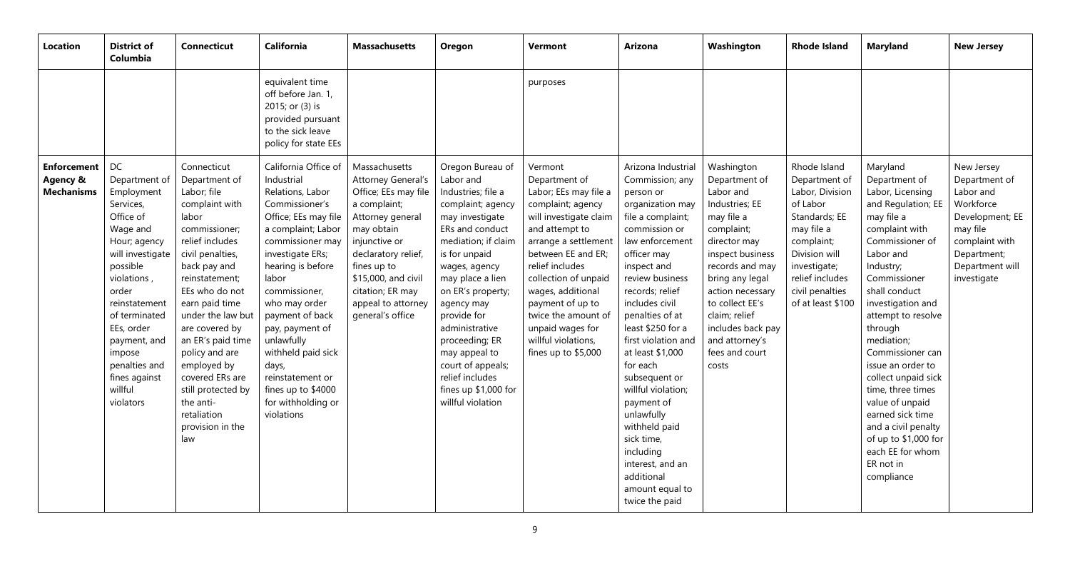| <b>Location</b>                                     | <b>District of</b><br>Columbia                                                                                                                                                                                                                                                      | <b>Connecticut</b>                                                                                                                                                                                                                                                                                                                                                                                | <b>California</b>                                                                                                                                                                                                                                                                                                                                                                               | <b>Massachusetts</b>                                                                                                                                                                                                                                      | Oregon                                                                                                                                                                                                                                                                                                                                                                                  | <b>Vermont</b>                                                                                                                                                                                                                                                                                                                                | <b>Arizona</b>                                                                                                                                                                                                                                                                                                                                                                                                                                                                                             | Washington                                                                                                                                                                                                                                                                                 | <b>Rhode Island</b>                                                                                                                                                                                   | <b>Maryland</b>                                                                                                                                                                                                                                                                                                                                                                                                                                                                 | <b>New Jersey</b>                                                                                                                                       |
|-----------------------------------------------------|-------------------------------------------------------------------------------------------------------------------------------------------------------------------------------------------------------------------------------------------------------------------------------------|---------------------------------------------------------------------------------------------------------------------------------------------------------------------------------------------------------------------------------------------------------------------------------------------------------------------------------------------------------------------------------------------------|-------------------------------------------------------------------------------------------------------------------------------------------------------------------------------------------------------------------------------------------------------------------------------------------------------------------------------------------------------------------------------------------------|-----------------------------------------------------------------------------------------------------------------------------------------------------------------------------------------------------------------------------------------------------------|-----------------------------------------------------------------------------------------------------------------------------------------------------------------------------------------------------------------------------------------------------------------------------------------------------------------------------------------------------------------------------------------|-----------------------------------------------------------------------------------------------------------------------------------------------------------------------------------------------------------------------------------------------------------------------------------------------------------------------------------------------|------------------------------------------------------------------------------------------------------------------------------------------------------------------------------------------------------------------------------------------------------------------------------------------------------------------------------------------------------------------------------------------------------------------------------------------------------------------------------------------------------------|--------------------------------------------------------------------------------------------------------------------------------------------------------------------------------------------------------------------------------------------------------------------------------------------|-------------------------------------------------------------------------------------------------------------------------------------------------------------------------------------------------------|---------------------------------------------------------------------------------------------------------------------------------------------------------------------------------------------------------------------------------------------------------------------------------------------------------------------------------------------------------------------------------------------------------------------------------------------------------------------------------|---------------------------------------------------------------------------------------------------------------------------------------------------------|
|                                                     |                                                                                                                                                                                                                                                                                     |                                                                                                                                                                                                                                                                                                                                                                                                   | equivalent time<br>off before Jan. 1,<br>2015; or (3) is<br>provided pursuant<br>to the sick leave<br>policy for state EEs                                                                                                                                                                                                                                                                      |                                                                                                                                                                                                                                                           |                                                                                                                                                                                                                                                                                                                                                                                         | purposes                                                                                                                                                                                                                                                                                                                                      |                                                                                                                                                                                                                                                                                                                                                                                                                                                                                                            |                                                                                                                                                                                                                                                                                            |                                                                                                                                                                                                       |                                                                                                                                                                                                                                                                                                                                                                                                                                                                                 |                                                                                                                                                         |
| <b>Enforcement</b><br>Agency &<br><b>Mechanisms</b> | DC<br>Department of<br>Employment<br>Services,<br>Office of<br>Wage and<br>Hour; agency<br>will investigate<br>possible<br>violations,<br>order<br>reinstatement<br>of terminated<br>EEs, order<br>payment, and<br>impose<br>penalties and<br>fines against<br>willful<br>violators | Connecticut<br>Department of<br>Labor; file<br>complaint with<br>labor<br>commissioner;<br>relief includes<br>civil penalties,<br>back pay and<br>reinstatement;<br>EEs who do not<br>earn paid time<br>under the law but<br>are covered by<br>an ER's paid time<br>policy and are<br>employed by<br>covered ERs are<br>still protected by<br>the anti-<br>retaliation<br>provision in the<br>law | California Office of<br>Industrial<br>Relations, Labor<br>Commissioner's<br>Office; EEs may file<br>a complaint; Labor<br>commissioner may<br>investigate ERs;<br>hearing is before<br>labor<br>commissioner,<br>who may order<br>payment of back<br>pay, payment of<br>unlawfully<br>withheld paid sick<br>days,<br>reinstatement or<br>fines up to \$4000<br>for withholding or<br>violations | Massachusetts<br>Attorney General's<br>Office; EEs may file<br>a complaint;<br>Attorney general<br>may obtain<br>injunctive or<br>declaratory relief,<br>fines up to<br>\$15,000, and civil<br>citation; ER may<br>appeal to attorney<br>general's office | Oregon Bureau of<br>Labor and<br>Industries; file a<br>complaint; agency<br>may investigate<br>ERs and conduct<br>mediation; if claim<br>is for unpaid<br>wages, agency<br>may place a lien<br>on ER's property;<br>agency may<br>provide for<br>administrative<br>proceeding; ER<br>may appeal to<br>court of appeals;<br>relief includes<br>fines up \$1,000 for<br>willful violation | Vermont<br>Department of<br>Labor; EEs may file a<br>complaint; agency<br>will investigate claim<br>and attempt to<br>arrange a settlement<br>between EE and ER;<br>relief includes<br>collection of unpaid<br>wages, additional<br>payment of up to<br>twice the amount of<br>unpaid wages for<br>willful violations,<br>fines up to \$5,000 | Arizona Industrial<br>Commission; any<br>person or<br>organization may<br>file a complaint;<br>commission or<br>law enforcement<br>officer may<br>inspect and<br>review business<br>records; relief<br>includes civil<br>penalties of at<br>least \$250 for a<br>first violation and<br>at least \$1,000<br>for each<br>subsequent or<br>willful violation;<br>payment of<br>unlawfully<br>withheld paid<br>sick time,<br>including<br>interest, and an<br>additional<br>amount equal to<br>twice the paid | Washington<br>Department of<br>Labor and<br>Industries; EE<br>may file a<br>complaint;<br>director may<br>inspect business<br>records and may<br>bring any legal<br>action necessary<br>to collect EE's<br>claim; relief<br>includes back pay<br>and attorney's<br>fees and court<br>costs | Rhode Island<br>Department of<br>Labor, Division<br>of Labor<br>Standards; EE<br>may file a<br>complaint;<br>Division will<br>investigate;<br>relief includes<br>civil penalties<br>of at least \$100 | Maryland<br>Department of<br>Labor, Licensing<br>and Regulation; EE<br>may file a<br>complaint with<br>Commissioner of<br>Labor and<br>Industry;<br>Commissioner<br>shall conduct<br>investigation and<br>attempt to resolve<br>through<br>mediation;<br>Commissioner can<br>issue an order to<br>collect unpaid sick<br>time, three times<br>value of unpaid<br>earned sick time<br>and a civil penalty<br>of up to \$1,000 for<br>each EE for whom<br>ER not in<br>compliance | New Jersey<br>Department of<br>Labor and<br>Workforce<br>Development; EE<br>may file<br>complaint with<br>Department;<br>Department will<br>investigate |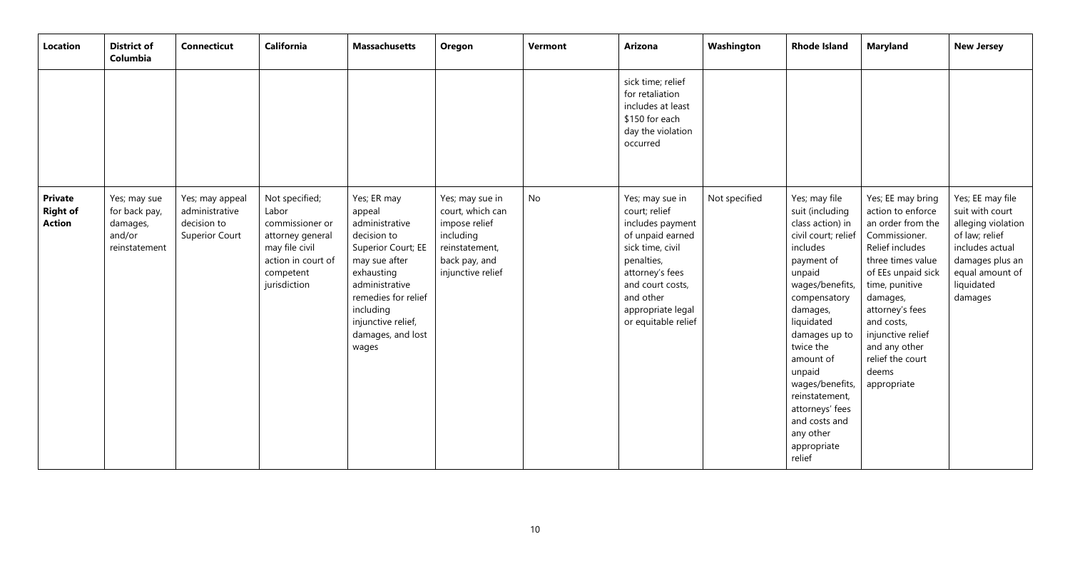| Location                                           | <b>District of</b><br>Columbia                                       | <b>Connecticut</b>                                                        | <b>California</b>                                                                                                                   | <b>Massachusetts</b>                                                                                                                                                                                                  | Oregon                                                                                                                    | Vermont | <b>Arizona</b>                                                                                                                                                                                             | Washington    | <b>Rhode Island</b>                                                                                                                                                                                                                                                                                                                              | <b>Maryland</b>                                                                                                                                                                                                                                                                             | <b>New Jersey</b>                                                                                                                                             |
|----------------------------------------------------|----------------------------------------------------------------------|---------------------------------------------------------------------------|-------------------------------------------------------------------------------------------------------------------------------------|-----------------------------------------------------------------------------------------------------------------------------------------------------------------------------------------------------------------------|---------------------------------------------------------------------------------------------------------------------------|---------|------------------------------------------------------------------------------------------------------------------------------------------------------------------------------------------------------------|---------------|--------------------------------------------------------------------------------------------------------------------------------------------------------------------------------------------------------------------------------------------------------------------------------------------------------------------------------------------------|---------------------------------------------------------------------------------------------------------------------------------------------------------------------------------------------------------------------------------------------------------------------------------------------|---------------------------------------------------------------------------------------------------------------------------------------------------------------|
|                                                    |                                                                      |                                                                           |                                                                                                                                     |                                                                                                                                                                                                                       |                                                                                                                           |         | sick time; relief<br>for retaliation<br>includes at least<br>\$150 for each<br>day the violation<br>occurred                                                                                               |               |                                                                                                                                                                                                                                                                                                                                                  |                                                                                                                                                                                                                                                                                             |                                                                                                                                                               |
| <b>Private</b><br><b>Right of</b><br><b>Action</b> | Yes; may sue<br>for back pay,<br>damages,<br>and/or<br>reinstatement | Yes; may appeal<br>administrative<br>decision to<br><b>Superior Court</b> | Not specified;<br>Labor<br>commissioner or<br>attorney general<br>may file civil<br>action in court of<br>competent<br>jurisdiction | Yes; ER may<br>appeal<br>administrative<br>decision to<br>Superior Court; EE<br>may sue after<br>exhausting<br>administrative<br>remedies for relief<br>including<br>injunctive relief,<br>damages, and lost<br>wages | Yes; may sue in<br>court, which can<br>impose relief<br>including<br>reinstatement,<br>back pay, and<br>injunctive relief | No      | Yes; may sue in<br>court; relief<br>includes payment<br>of unpaid earned<br>sick time, civil<br>penalties,<br>attorney's fees<br>and court costs,<br>and other<br>appropriate legal<br>or equitable relief | Not specified | Yes; may file<br>suit (including<br>class action) in<br>civil court; relief<br>includes<br>payment of<br>unpaid<br>wages/benefits,<br>compensatory<br>damages,<br>liquidated<br>damages up to<br>twice the<br>amount of<br>unpaid<br>wages/benefits,<br>reinstatement,<br>attorneys' fees<br>and costs and<br>any other<br>appropriate<br>relief | Yes; EE may bring<br>action to enforce<br>an order from the<br>Commissioner.<br>Relief includes<br>three times value<br>of EEs unpaid sick<br>time, punitive<br>damages,<br>attorney's fees<br>and costs,<br>injunctive relief<br>and any other<br>relief the court<br>deems<br>appropriate | Yes; EE may file<br>suit with court<br>alleging violation<br>of law; relief<br>includes actual<br>damages plus an<br>equal amount of<br>liquidated<br>damages |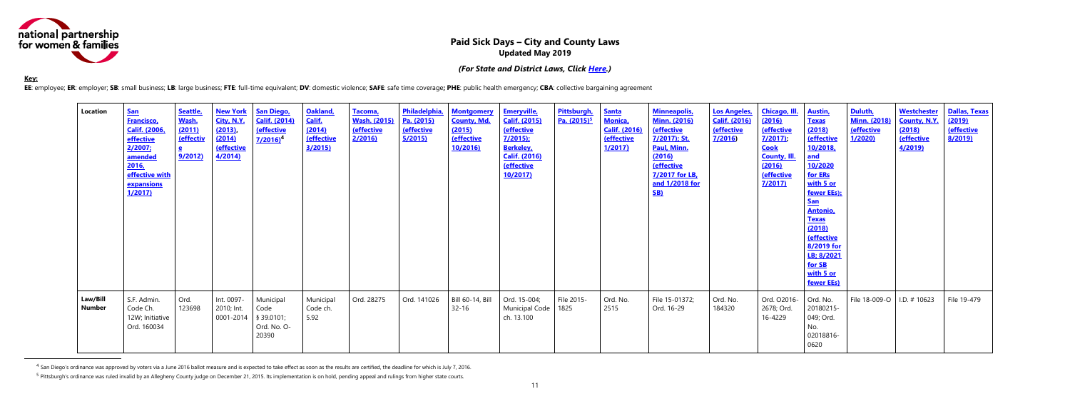<span id="page-10-0"></span>

## **Paid Sick Days – City and County Laws Updated May 2019**

*(For State and District Laws, Click [Here.](#page-0-0))*

#### **Key:**

 $\overline{a}$ 

EE: employee; ER: employer; SB: small business; LB: large business; FTE: full-time equivalent; DV: domestic violence; SAFE: safe time coverage; PHE: public health emergency; CBA: collective bargaining agreement

| Location           | <b>San</b><br><b>Francisco,</b><br><b>Calif. (2006.</b><br>effective<br>2/2007;<br>amended<br>2016,<br>effective with<br>expansions<br>1/2017 | Seattle,<br>Wash.<br>(2011)<br>(effectiv<br>e<br>9/2012) | <b>New York</b><br>City, N.Y.<br>(2013)<br>(2014)<br><b>(effective</b><br>4/2014 | <b>San Diego,</b><br><b>Calif. (2014)</b><br><b>(effective</b><br>$7/2016$ <sup>4</sup> | Oakland,<br>Calif.<br>(2014)<br><b>(effective</b><br>3/2015 | Tacoma,<br><b>Wash. (2015)</b><br><b>(effective</b><br>2/2016 | Philadelphia,<br>Pa. (2015)<br><b>(effective</b><br><u>5/2015)</u> | <b>Montgomery</b><br><b>County, Md.</b><br>(2015)<br><b>(effective</b><br><b>10/2016</b> | <b>Emeryville</b> ,<br><b>Calif. (2015)</b><br><b>(effective</b><br>$7/2015$ ;<br><b>Berkeley</b> ,<br><b>Calif. (2016)</b><br><b>Ceffective</b><br>10/2017 | Pittsburgh,<br>Pa. (2015) <sup>5</sup> | <b>Santa</b><br><b>Monica</b><br><b>Calif. (2016)</b><br><b>Ceffective</b><br>1/2017) | <b>Minneapolis</b> ,<br><b>Minn. (2016)</b><br><b>(effective</b><br>7/2017); St.<br>Paul, Minn.<br>(2016)<br><b>(effective</b><br>7/2017 for LB,<br>and 1/2018 for<br><b>SB)</b> | <b>Los Angeles,</b><br><b>Calif. (2016)</b><br><b>(effective</b><br>7/2016 | <b>Chicago, Ill.</b><br>(2016)<br><b>(effective</b><br>7/2017<br><b>Cook</b><br><b>County, III.</b><br>(2016)<br>(effective<br>7/2017 | <b>Austin,</b><br><b>Texas</b><br>(2018)<br><b>(effective</b><br>10/2018,<br><u>and</u><br>10/2020<br>for ERs<br>with 5 or<br>fewer EEs);<br><u>San</u><br><b>Antonio</b><br><b>Texas</b><br>(2018)<br><b>(effective</b><br>8/2019 for<br>LB; 8/2021<br>for SB<br>with 5 or<br>fewer EEs) | Duluth,<br><b>Minn. (2018)</b><br><b>(effective</b><br>1/2020 | <b>Westchester</b><br><b>County, N.Y.</b><br>(2018)<br><b>(effective</b><br><u>4/2019)</u> | <b>Dallas, Texas</b><br>(2019)<br><b>(effective</b><br>8/2019) |
|--------------------|-----------------------------------------------------------------------------------------------------------------------------------------------|----------------------------------------------------------|----------------------------------------------------------------------------------|-----------------------------------------------------------------------------------------|-------------------------------------------------------------|---------------------------------------------------------------|--------------------------------------------------------------------|------------------------------------------------------------------------------------------|-------------------------------------------------------------------------------------------------------------------------------------------------------------|----------------------------------------|---------------------------------------------------------------------------------------|----------------------------------------------------------------------------------------------------------------------------------------------------------------------------------|----------------------------------------------------------------------------|---------------------------------------------------------------------------------------------------------------------------------------|-------------------------------------------------------------------------------------------------------------------------------------------------------------------------------------------------------------------------------------------------------------------------------------------|---------------------------------------------------------------|--------------------------------------------------------------------------------------------|----------------------------------------------------------------|
| Law/Bill<br>Number | S.F. Admin.<br>Code Ch.<br>12W; Initiative<br>Ord. 160034                                                                                     | Ord.<br>123698                                           | Int. 0097-<br>2010; Int.<br>0001-2014                                            | Municipal<br>Code<br>§ 39.0101;<br>Ord. No. O-<br>20390                                 | Municipal<br>Code ch.<br>5.92                               | Ord. 28275                                                    | Ord. 141026                                                        | Bill 60-14, Bill<br>$32 - 16$                                                            | Ord. 15-004;<br>Municipal Code<br>ch. 13.100                                                                                                                | File 2015-<br>1825                     | Ord. No.<br>2515                                                                      | File 15-01372;<br>Ord. 16-29                                                                                                                                                     | Ord. No.<br>184320                                                         | Ord. O2016-<br>2678; Ord.<br>16-4229                                                                                                  | Ord. No.<br>20180215-<br>049; Ord.<br>No.<br>02018816-<br>0620                                                                                                                                                                                                                            | File 18-009-O   I.D. # 10623                                  |                                                                                            | File 19-479                                                    |

 $^4$  San Diego's ordinance was approved by voters via a June 2016 ballot measure and is expected to take effect as soon as the results are certified, the deadline for which is July 7, 2016.

<sup>&</sup>lt;sup>5</sup> Pittsburgh's ordinance was ruled invalid by an Allegheny County judge on December 21, 2015. Its implementation is on hold, pending appeal and rulings from higher state courts.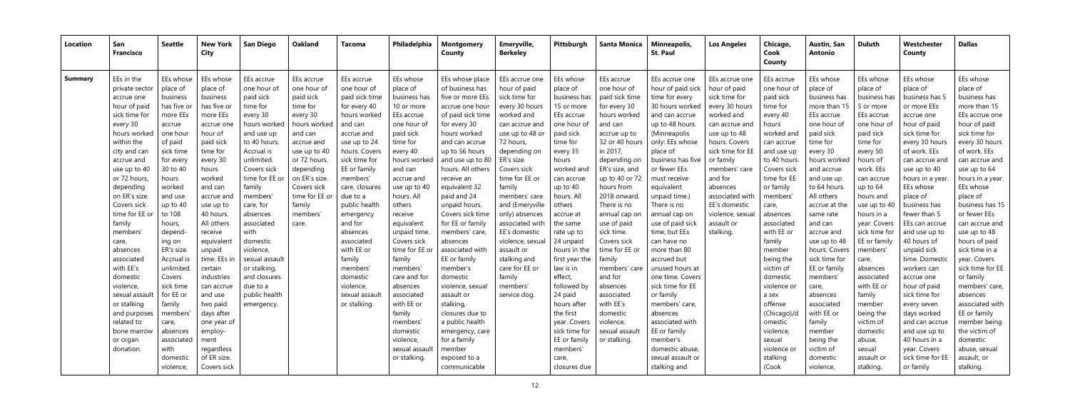| Location       | San<br><b>Francisco</b>      | <b>Seattle</b>        | <b>New York</b><br>City | <b>San Diego</b>          | Oakland                   | Tacoma                    | Philadelphia          | <b>Montgomery</b><br><b>County</b> | Emeryville,<br><b>Berkeley</b> | Pittsburgh            | <b>Santa Monica</b>       | Minneapolis,<br><b>St. Paul</b>     | <b>Los Angeles</b>             | Chicago,<br>Cook<br>County | <b>Austin, San</b><br>Antonio | <b>Duluth</b>         | Westchester<br>County | <b>Dallas</b>         |
|----------------|------------------------------|-----------------------|-------------------------|---------------------------|---------------------------|---------------------------|-----------------------|------------------------------------|--------------------------------|-----------------------|---------------------------|-------------------------------------|--------------------------------|----------------------------|-------------------------------|-----------------------|-----------------------|-----------------------|
| <b>Summary</b> | EEs in the<br>private sector | EEs whose<br>place of | EEs whose<br>place of   | EEs accrue<br>one hour of | EEs accrue<br>one hour of | EEs accrue<br>one hour of | EEs whose<br>place of | EEs whose place<br>of business has | EEs accrue one<br>hour of paid | EEs whose<br>place of | EEs accrue<br>one hour of | EEs accrue one<br>hour of paid sick | EEs accrue one<br>hour of paid | EEs accrue<br>one hour of  | EEs whose<br>place of         | EEs whose<br>place of | EEs whose<br>place of | EEs whose<br>place of |
|                | accrue one                   | business              | business                | paid sick                 | paid sick                 | paid sick time            | business has          | five or more EEs                   | sick time for                  | business has          | paid sick time            | time for every                      | sick time for                  | paid sick                  | business has                  | business has          | business has 5        | business has          |
|                | hour of paid                 | has five or           | has five or             | time for                  | time for                  | for every 40              | 10 or more            | accrue one hour                    | every 30 hours                 | 15 or more            | for every 30              | 30 hours worked                     | every 30 hours                 | time for                   | more than 15                  | 5 or more             | or more EEs           | more than 15          |
|                | sick time for                | more EEs              | more EEs                | every 30                  | every 30                  | hours worked              | EEs accrue            | of paid sick time                  | worked and                     | EEs accrue            | hours worked              | and can accrue                      | worked and                     | every 40                   | EEs accrue                    | EEs accrue            | accrue one            | EEs accrue one        |
|                | every 30                     | accrue                | accrue one              | hours worked              | hours worked              | and can                   | one hour of           | for every 30                       | can accrue and                 | one hour of           | and can                   | up to 48 hours                      | can accrue and                 | hours                      | one hour of                   | one hour of           | hour of paid          | hour of paid          |
|                | hours worked                 | one hour              | hour of                 | and use up                | and can                   | accrue and                | paid sick             | hours worked                       | use up to 48 or                | paid sick             | accrue up to              | (Minneapolis                        | use up to 48                   | worked and                 | paid sick                     | paid sick             | sick time for         | sick time for         |
|                | within the                   | of paid               | paid sick               | to 40 hours               | accrue and                | use up to 24              | time for              | and can accrue                     | 72 hours,                      | time for              | 32 or 40 hours            | only: EEs whose                     | hours. Covers                  | can accrue                 | time for                      | time for              | every 30 hours        | every 30 hours        |
|                | city and can                 | sick time             | time for                | Accrual is                | use up to 40              | hours. Covers             | every 40              | up to 56 hours                     | depending on                   | every 35              | in 2017,                  | place of                            | sick time for EE               | and use up                 | every 30                      | every 50              | of work. EEs          | of work. EEs          |
|                | accrue and                   | for every             | every 30                | unlimited.                | or 72 hours,              | sick time for             | hours worked          | and use up to 80                   | ER's size.                     | hours                 | depending on              | business has five                   | or family                      | to 40 hours                | hours worked                  | hours of              | can accrue and        | can accrue and        |
|                | use up to 40                 | 30 to 40              | hours                   | Covers sick               | depending                 | EE or family              | and can               | hours. All others                  | Covers sick                    | worked and            | ER's size, and            | or fewer EEs                        | members' care                  | Covers sick                | and accrue                    | work. EEs             | use up to 40          | use up to 64          |
|                | or 72 hours,                 | hours                 | worked                  | time for EE or            | on ER's size.             | members'                  | accrue and            | receive an                         | time for EE or                 | can accrue            | up to 40 or 72            | must receive                        | and for                        | time for EE                | and use up                    | can accrue            | hours in a year.      | hours in a year.      |
|                | depending                    | worked                | and can                 | family                    | Covers sick               | care, closures            | use up to 40          | equivalent 32                      | family                         | up to 40              | hours from                | equivalent                          | absences                       | or family                  | to 64 hours.                  | up to 64              | EEs whose             | EEs whose             |
|                | on ER's size.                | and use               | accrue and              | members'                  | time for EE or            | due to a                  | hours. All            | paid and 24                        | members' care                  | hours. All            | 2018 onward.              | unpaid time.)                       | associated with                | members                    | All others                    | hours and             | place of              | place of              |
|                | Covers sick                  | up to 40              | use up to               | care, for                 | family                    | public health             | others                | unpaid hours.                      | and (Emeryville                | others                | There is no               | There is no                         | EE's domestic                  | care,                      | accrue at the                 | use up to 40          | business has          | business has 15       |
|                | time for EE or               | to 108                | 40 hours.               | absences                  | members'                  | emergency                 | receive               | Covers sick time                   | only) absences                 | accrue at             | annual cap on             | annual cap on                       | violence, sexua                | absences                   | same rate                     | hours in a            | fewer than 5          | or fewer EEs          |
|                | family                       | hours,                | All others              | associated                | care.                     | and for                   | equivalent            | for EE or family                   | associated with                | the same              | use of paid               | use of paid sick                    | assault or                     | associated                 | and can                       | year. Covers          | EEs can accrue        | can accrue and        |
|                | members                      | depend-               | receive                 | with                      |                           | absences                  | unpaid time.          | members' care,                     | EE's domestic                  | rate up to            | sick time.                | time, but EEs                       | stalking.                      | with EE or                 | accrue and                    | sick time for         | and use up to         | use up to 48          |
|                | care,                        | ing on                | equivalent              | domestic                  |                           | associated                | Covers sick           | absences                           | violence, sexual               | 24 unpaid             | Covers sick               | can have no                         |                                | family                     | use up to 48                  | EE or family          | 40 hours of           | hours of paid         |
|                | absences                     | ER's size.            | unpaid                  | violence,                 |                           | with EE or                | time for EE or        | associated with                    | assault or                     | hours in the          | time for EE or            | more than 80                        |                                | member                     | hours. Covers                 | members'              | unpaid sick           | sick time in a        |
|                | associated                   | Accrual is            | time. EEs in            | sexual assault            |                           | family                    | family                | EE or family                       | stalking and                   | first year the        | family                    | accrued but                         |                                | being the                  | sick time for                 | care,                 | time. Domestic        | year. Covers          |
|                | with EE's                    | unlimited             | certain                 | or stalking,              |                           | members'                  | members'              | member's                           | care for EE or                 | law is in             | members' care             | unused hours at                     |                                | victim of                  | EE or family                  | absences              | workers can           | sick time for EE      |
|                | domestic                     | Covers                | industries              | and closures              |                           | domestic                  | care and for          | domestic                           | family                         | effect,               | and for                   | one time. Covers                    |                                | domestic                   | members'                      | associated            | accrue one            | or family             |
|                | violence,                    | sick time             | can accrue              | due to a                  |                           | violence,                 | absences              | violence, sexual                   | members'                       | followed by           | absences                  | sick time for EE                    |                                | violence or                | care,                         | with EE or            | hour of paid          | members' care,        |
|                | sexual assault               | for EE or             | and use                 | public health             |                           | sexual assau              | associated            | assault or                         | service dog.                   | 24 paid               | associated                | or family                           |                                | a sex                      | absences                      | family                | sick time for         | absences              |
|                | or stalking                  | family                | two paid                | emergency.                |                           | or stalking.              | with EE or            | stalking,                          |                                | hours after           | with EE's                 | members' care,                      |                                | offense                    | associated                    | member                | every seven           | associated with       |
|                | and purposes                 | members               | days after              |                           |                           |                           | family                | closures due to                    |                                | the first             | domestic                  | absences                            |                                | (Chicago)/c                | with EE or                    | being the             | days worked           | EE or family          |
|                | related to                   | care,                 | one year of             |                           |                           |                           | members <sup>®</sup>  | a public health                    |                                | year. Covers          | violence,                 | associated with                     |                                | omestic                    | family                        | victim of             | and can accrue        | member being          |
|                | bone marrow                  | absences              | employ-                 |                           |                           |                           | domestic              | emergency, care                    |                                | sick time for         | sexual assault            | EE or family                        |                                | violence,                  | member                        | domestic              | and use up to         | the victim of         |
|                | or organ                     | associated            | ment                    |                           |                           |                           | violence,             | for a family                       |                                | EE or family          | or stalking               | member's                            |                                | sexual                     | being the                     | abuse,                | 40 hours in a         | domestic              |
|                | donation.                    | with                  | regardless              |                           |                           |                           | sexual assaul         | member                             |                                | members'              |                           | domestic abuse,                     |                                | violence or                | victim of                     | sexual                | year. Covers          | abuse, sexual         |
|                |                              | domestic              | of ER size.             |                           |                           |                           | or stalking.          | exposed to a                       |                                | care,                 |                           | sexual assault or                   |                                | stalking                   | domestic                      | assault or            | sick time for EE      | assault, or           |
|                |                              | violence,             | Covers sick             |                           |                           |                           |                       | communicable                       |                                | closures due          |                           | stalking and                        |                                | (Cook                      | violence                      | stalking.             | or family             | stalking.             |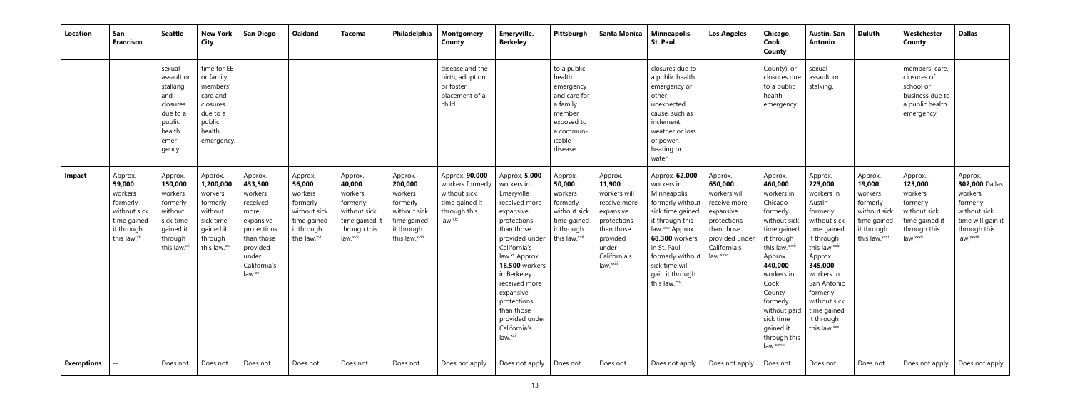| <b>Location</b> | San<br><b>Francisco</b>                                                                               | <b>Seattle</b>                                                                                             | <b>New York</b><br><b>City</b>                                                                              | <b>San Diego</b>                                                                                                                                       | <b>Oakland</b>                                                                                        | Tacoma                                                                                                            | Philadelphia                                                                                             | <b>Montgomery</b><br>County                                                                     | Emeryville,<br><b>Berkeley</b>                                                                                                                                                                                                                                                                                                   | Pittsburgh                                                                                                                | <b>Santa Monica</b>                                                                                                                           | Minneapolis,<br><b>St. Paul</b>                                                                                                                                                                                                                 | <b>Los Angeles</b>                                                                                                             | Chicago,<br>Cook<br>County                                                                                                                                                                                                                                                    | Austin, San<br><b>Antonio</b>                                                                                                                                                                                                                    | <b>Duluth</b>                                                                                          | Westchester<br>County                                                                                    | <b>Dallas</b>                                                                                                        |
|-----------------|-------------------------------------------------------------------------------------------------------|------------------------------------------------------------------------------------------------------------|-------------------------------------------------------------------------------------------------------------|--------------------------------------------------------------------------------------------------------------------------------------------------------|-------------------------------------------------------------------------------------------------------|-------------------------------------------------------------------------------------------------------------------|----------------------------------------------------------------------------------------------------------|-------------------------------------------------------------------------------------------------|----------------------------------------------------------------------------------------------------------------------------------------------------------------------------------------------------------------------------------------------------------------------------------------------------------------------------------|---------------------------------------------------------------------------------------------------------------------------|-----------------------------------------------------------------------------------------------------------------------------------------------|-------------------------------------------------------------------------------------------------------------------------------------------------------------------------------------------------------------------------------------------------|--------------------------------------------------------------------------------------------------------------------------------|-------------------------------------------------------------------------------------------------------------------------------------------------------------------------------------------------------------------------------------------------------------------------------|--------------------------------------------------------------------------------------------------------------------------------------------------------------------------------------------------------------------------------------------------|--------------------------------------------------------------------------------------------------------|----------------------------------------------------------------------------------------------------------|----------------------------------------------------------------------------------------------------------------------|
|                 |                                                                                                       | sexual<br>assault or<br>stalking,<br>and<br>closures<br>due to a<br>public<br>health<br>emer-<br>gency.    | time for EE<br>or family<br>members'<br>care and<br>closures<br>due to a<br>public<br>health<br>emergency.  |                                                                                                                                                        |                                                                                                       |                                                                                                                   |                                                                                                          | disease and the<br>birth, adoption,<br>or foster<br>placement of a<br>child.                    |                                                                                                                                                                                                                                                                                                                                  | to a public<br>health<br>emergency<br>and care for<br>a family<br>member<br>exposed to<br>a commun-<br>icable<br>disease. |                                                                                                                                               | closures due to<br>a public health<br>emergency or<br>other<br>unexpected<br>cause, such as<br>inclement<br>weather or loss<br>of power,<br>heating or<br>water.                                                                                |                                                                                                                                | County), or<br>closures due<br>to a public<br>health<br>emergency.                                                                                                                                                                                                            | sexual<br>assault, or<br>stalking.                                                                                                                                                                                                               |                                                                                                        | members' care,<br>closures of<br>school or<br>business due to<br>a public health<br>emergency;           |                                                                                                                      |
| Impact          | Approx.<br>59,000<br>workers<br>formerly<br>without sick<br>time gained<br>it through<br>this law.xii | Approx.<br>150,000<br>workers<br>formerly<br>without<br>sick time<br>gained it<br>through<br>this law.xiii | Approx.<br>1,200,000<br>workers<br>formerly<br>without<br>sick time<br>gained it<br>through<br>this law.xiv | Approx.<br>433,500<br>workers<br>received<br>more<br>expansive<br>protections<br>than those<br>provided<br>under<br>California's<br>law. <sup>xv</sup> | Approx.<br>56,000<br>workers<br>formerly<br>without sick<br>time gained<br>it through<br>this law.xvi | Approx.<br>40,000<br>workers<br>formerly<br>without sick<br>time gained i<br>through this<br>law. <sup>xvii</sup> | Approx.<br>200,000<br>workers<br>formerly<br>without sick<br>time gained<br>it through<br>this law.xviii | Approx. 90,000<br>workers formerly<br>without sick<br>time gained it<br>through this<br>law.xix | Approx. 5,000<br>workers in<br>Emeryville<br>received more<br>expansive<br>protections<br>than those<br>provided under<br>California's<br>law. <sup>xx</sup> Approx.<br><b>18,500 workers</b><br>in Berkeley<br>received more<br>expansive<br>protections<br>than those<br>provided under<br>California's<br>law. <sup>xxi</sup> | Approx.<br>50,000<br>workers<br>formerly<br>without sick<br>time gained<br>it through<br>this law.xxii                    | Approx.<br>11,900<br>workers will<br>receive more<br>expansive<br>protections<br>than those<br>provided<br>under<br>California's<br>law.xxiii | Approx. 62,000<br>workers in<br>Minneapolis<br>formerly without<br>sick time gained<br>it through this<br>law.xxiv Approx.<br>68,300 workers<br>in St. Paul<br>formerly without   law.xxvi<br>sick time will<br>gain it through<br>this law.xxv | Approx.<br>650,000<br>workers will<br>receive more<br>expansive<br>protections<br>than those<br>provided under<br>California's | Approx.<br>460,000<br>workers in<br>Chicago<br>formerly<br>without sick<br>time gained<br>it through<br>this law. xxvii<br>Approx.<br>440,000<br>workers in<br>Cook<br>County<br>formerly<br>without paid<br>sick time<br>gained it<br>through this<br>law. <sup>xxviii</sup> | Approx.<br>223,000<br>workers in<br>Austin<br>formerly<br>without sick<br>time gained<br>it through<br>this law.xxix<br>Approx.<br>345,000<br>workers in<br>San Antonio<br>formerly<br>without sick<br>time gained<br>it through<br>this law.xxx | Approx.<br>19,000<br>workers<br>formerly<br>without sick<br>time gained<br>it through<br>this law.xxxi | Approx.<br>123,000<br>workers<br>formerly<br>without sick<br>time gained it<br>through this<br>law.xxxii | Approx.<br>302,000 Dallas<br>workers<br>formerly<br>without sick<br>time will gain it<br>through this<br>law. xxxiii |
| Exemptions      |                                                                                                       | Does not                                                                                                   | Does not                                                                                                    | Does not                                                                                                                                               | Does not                                                                                              | Does not                                                                                                          | Does not                                                                                                 | Does not apply                                                                                  | Does not apply                                                                                                                                                                                                                                                                                                                   | Does not                                                                                                                  | Does not                                                                                                                                      | Does not apply                                                                                                                                                                                                                                  | Does not apply                                                                                                                 | Does not                                                                                                                                                                                                                                                                      | Does not                                                                                                                                                                                                                                         | Does not                                                                                               | Does not apply                                                                                           | Does not apply                                                                                                       |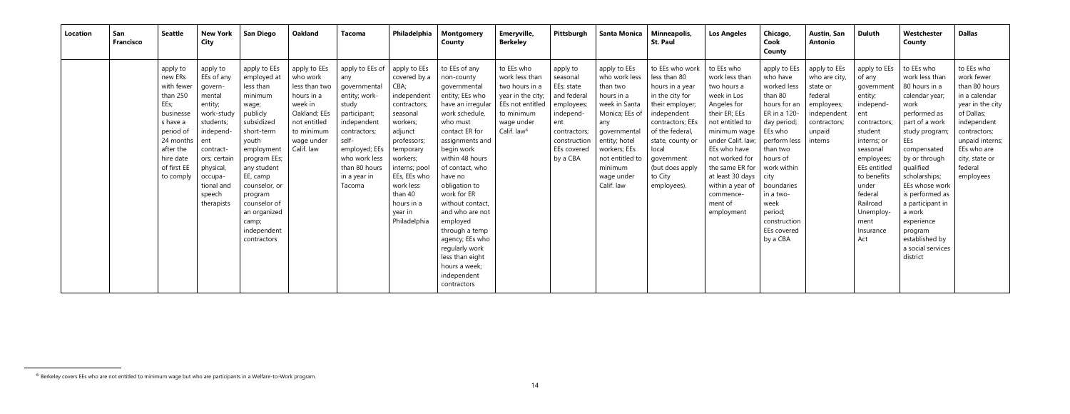| Location | San<br><b>Francisco</b> | <b>Seattle</b>                                                                                                                                                 | <b>New York</b><br>City                                                                                                                                                                            | <b>San Diego</b>                                                                                                                                                                                                                                                          | <b>Oakland</b>                                                                                                                               | Tacoma                                                                                                                                                                                                | Philadelphia                                                                                                                                                                                                                                     | <b>Montgomery</b><br>County                                                                                                                                                                                                                                                                                                                                                                                                       | Emeryville,<br><b>Berkeley</b>                                                                                                                 | Pittsburgh                                                                                                                                     | <b>Santa Monica</b>                                                                                                                                                                                          | Minneapolis,<br><b>St. Paul</b>                                                                                                                                                                                                        | <b>Los Angeles</b>                                                                                                                                                                                                                                                                                 | Chicago,<br>Cook<br>County                                                                                                                                                                                                                                   | <b>Austin, San</b><br><b>Antonio</b>                                                                                   | <b>Duluth</b>                                                                                                                                                                                                                                   | Westchester<br>County                                                                                                                                                                                                                                                                                                                           | <b>Dallas</b>                                                                                                                                                                                           |
|----------|-------------------------|----------------------------------------------------------------------------------------------------------------------------------------------------------------|----------------------------------------------------------------------------------------------------------------------------------------------------------------------------------------------------|---------------------------------------------------------------------------------------------------------------------------------------------------------------------------------------------------------------------------------------------------------------------------|----------------------------------------------------------------------------------------------------------------------------------------------|-------------------------------------------------------------------------------------------------------------------------------------------------------------------------------------------------------|--------------------------------------------------------------------------------------------------------------------------------------------------------------------------------------------------------------------------------------------------|-----------------------------------------------------------------------------------------------------------------------------------------------------------------------------------------------------------------------------------------------------------------------------------------------------------------------------------------------------------------------------------------------------------------------------------|------------------------------------------------------------------------------------------------------------------------------------------------|------------------------------------------------------------------------------------------------------------------------------------------------|--------------------------------------------------------------------------------------------------------------------------------------------------------------------------------------------------------------|----------------------------------------------------------------------------------------------------------------------------------------------------------------------------------------------------------------------------------------|----------------------------------------------------------------------------------------------------------------------------------------------------------------------------------------------------------------------------------------------------------------------------------------------------|--------------------------------------------------------------------------------------------------------------------------------------------------------------------------------------------------------------------------------------------------------------|------------------------------------------------------------------------------------------------------------------------|-------------------------------------------------------------------------------------------------------------------------------------------------------------------------------------------------------------------------------------------------|-------------------------------------------------------------------------------------------------------------------------------------------------------------------------------------------------------------------------------------------------------------------------------------------------------------------------------------------------|---------------------------------------------------------------------------------------------------------------------------------------------------------------------------------------------------------|
|          |                         | apply to<br>new ERs<br>with fewer<br>than 250<br>EEs;<br>businesse<br>s have a<br>period of<br>24 months<br>after the<br>hire date<br>of first EE<br>to comply | apply to<br>EEs of any<br>govern-<br>mental<br>entity;<br>work-study<br>students;<br>independ-<br>  ent<br>contract-<br>ors; certain<br>physical,<br>occupa-<br>tional and<br>speech<br>therapists | apply to EEs<br>employed at<br>less than<br>minimum<br>wage;<br>publicly<br>subsidized<br>short-term<br>youth<br>employment<br>program EEs;<br>any student<br>EE, camp<br>counselor, or<br>program<br>counselor of<br>an organized<br>camp;<br>independent<br>contractors | apply to EEs<br>who work<br>less than two<br>hours in a<br>week in<br>Oakland; EEs<br>not entitled<br>to minimum<br>wage under<br>Calif. law | apply to EEs of<br>any<br>governmental<br>entity; work-<br>study<br>participant;<br>independent<br>contractors;<br>self-<br>employed; EEs<br>who work less<br>than 80 hours<br>in a year in<br>Tacoma | apply to EEs<br>covered by a<br>CBA;<br>independent<br>contractors;<br>seasonal<br>workers;<br>adjunct<br>professors;<br>temporary<br>workers;<br>interns; pool<br>EEs, EEs who<br>work less<br>than 40<br>hours in a<br>year in<br>Philadelphia | to EEs of any<br>non-county<br>qovernmental<br>entity; EEs who<br>have an irregular<br>work schedule,<br>who must<br>contact ER for<br>assignments and<br>begin work<br>within 48 hours<br>of contact, who<br>have no<br>obligation to<br>work for ER<br>without contact,<br>and who are not<br>employed<br>through a temp<br>agency; EEs who<br>regularly work<br>less than eight<br>hours a week;<br>independent<br>contractors | to EEs who<br>work less than<br>two hours in a<br>year in the city;<br>EEs not entitled<br>to minimum<br>wage under<br>Calif. law <sup>6</sup> | apply to<br>seasonal<br>EEs; state<br>and federal<br>employees;<br>independ-<br>ent<br>contractors;<br>construction<br>EEs covered<br>by a CBA | apply to EEs<br>who work less<br>than two<br>hours in a<br>week in Santa<br>Monica; EEs of<br>any<br>governmental<br>entity; hotel<br>workers; EEs<br>not entitled to<br>minimum<br>wage under<br>Calif. law | to EEs who work<br>less than 80<br>hours in a year<br>in the city for<br>their employer;<br>independent<br>contractors; EEs<br>of the federal,<br>state, county or<br>local<br>government<br>(but does apply<br>to City<br>employees). | to EEs who<br>work less than<br>two hours a<br>week in Los<br>Angeles for<br>their ER; EEs<br>not entitled to<br>minimum wage<br>under Calif. law;<br>EEs who have<br>not worked for<br>the same ER for<br>at least 30 days $\vert$ city<br>within a year of<br>commence-<br>ment of<br>employment | apply to EEs<br>who have<br>worked less<br>than 80<br>hours for an<br>ER in a 120-<br>day period;<br>EEs who<br>perform less<br>than two<br>hours of<br>work within<br>boundaries<br>in a two-<br>week<br>period;<br>construction<br>EEs covered<br>by a CBA | apply to EEs<br>who are city,<br>state or<br>federal<br>employees;<br>independent<br>contractors;<br>unpaid<br>interns | apply to EEs<br>of any<br>government<br>entity;<br>independ-<br>ent<br>contractors;<br>student<br>interns; or<br>seasonal<br>employees;<br>EEs entitled<br>to benefits<br>under<br>federal<br>Railroad<br>Unemploy-<br>ment<br>Insurance<br>Act | to EEs who<br>work less than<br>80 hours in a<br>calendar year;<br>work<br>performed as<br>part of a work<br>study program;<br>EEs<br>compensated<br>by or through<br>qualified<br>scholarships;<br>EEs whose work<br>is performed as<br>a participant in<br>a work<br>experience<br>program<br>established by<br>a social services<br>district | to EEs who<br>work fewer<br>than 80 hours<br>in a calendar<br>year in the city<br>of Dallas;<br>independent<br>contractors;<br>unpaid interns;<br>EEs who are<br>city, state or<br>federal<br>employees |

<sup>&</sup>lt;sup>6</sup> Berkeley covers EEs who are not entitled to minimum wage but who are participants in a Welfare-to-Work program.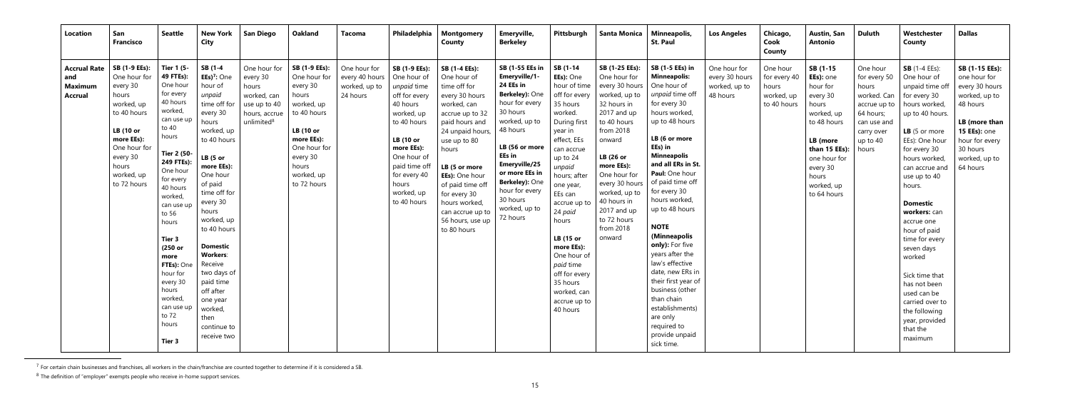| Location                                                       | San<br><b>Francisco</b>                                                                                                                                                             | <b>Seattle</b>                                                                                                                                                                                                                                                                                                                                                      | <b>New York</b><br>City                                                                                                                                                                                                                                                                                                                                                                             | <b>San Diego</b>                                                                                            | <b>Oakland</b>                                                                                                                                                                      | Tacoma                                                      | Philadelphia                                                                                                                                                                                                                 | <b>Montgomery</b><br><b>County</b>                                                                                                                                                                                                                                                                             | Emeryville,<br><b>Berkeley</b>                                                                                                                                                                                                                                                | Pittsburgh                                                                                                                                                                                                                                                                                                                                                             | <b>Santa Monica</b>                                                                                                                                                                                                                                                                     | Minneapolis,<br><b>St. Paul</b>                                                                                                                                                                                                                                                                                                                                                                                                                                                                                                                | <b>Los Angeles</b>                                          | Chicago,<br>Cook<br>County                                     | <b>Austin, San</b><br><b>Antonio</b>                                                                                                                                               | <b>Duluth</b>                                                                                                                   | Westchester<br>County                                                                                                                                                                                                                                                                                                                                                                                                                                               | <b>Dallas</b>                                                                                                                                                                    |
|----------------------------------------------------------------|-------------------------------------------------------------------------------------------------------------------------------------------------------------------------------------|---------------------------------------------------------------------------------------------------------------------------------------------------------------------------------------------------------------------------------------------------------------------------------------------------------------------------------------------------------------------|-----------------------------------------------------------------------------------------------------------------------------------------------------------------------------------------------------------------------------------------------------------------------------------------------------------------------------------------------------------------------------------------------------|-------------------------------------------------------------------------------------------------------------|-------------------------------------------------------------------------------------------------------------------------------------------------------------------------------------|-------------------------------------------------------------|------------------------------------------------------------------------------------------------------------------------------------------------------------------------------------------------------------------------------|----------------------------------------------------------------------------------------------------------------------------------------------------------------------------------------------------------------------------------------------------------------------------------------------------------------|-------------------------------------------------------------------------------------------------------------------------------------------------------------------------------------------------------------------------------------------------------------------------------|------------------------------------------------------------------------------------------------------------------------------------------------------------------------------------------------------------------------------------------------------------------------------------------------------------------------------------------------------------------------|-----------------------------------------------------------------------------------------------------------------------------------------------------------------------------------------------------------------------------------------------------------------------------------------|------------------------------------------------------------------------------------------------------------------------------------------------------------------------------------------------------------------------------------------------------------------------------------------------------------------------------------------------------------------------------------------------------------------------------------------------------------------------------------------------------------------------------------------------|-------------------------------------------------------------|----------------------------------------------------------------|------------------------------------------------------------------------------------------------------------------------------------------------------------------------------------|---------------------------------------------------------------------------------------------------------------------------------|---------------------------------------------------------------------------------------------------------------------------------------------------------------------------------------------------------------------------------------------------------------------------------------------------------------------------------------------------------------------------------------------------------------------------------------------------------------------|----------------------------------------------------------------------------------------------------------------------------------------------------------------------------------|
| <b>Accrual Rate</b><br>and<br><b>Maximum</b><br><b>Accrual</b> | SB (1-9 EEs):<br>One hour for<br>every 30<br>hours<br>worked, up<br>to 40 hours<br><b>LB</b> (10 or<br>more EEs):<br>One hour for<br>every 30<br>hours<br>worked, up<br>to 72 hours | <b>Tier 1 (5-</b><br>49 FTEs):<br>One hour<br>for every<br>40 hours<br>worked,<br>can use up<br>to 40<br>hours<br><b>Tier 2 (50-</b><br>249 FTEs):<br>One hour<br>for every<br>40 hours<br>worked,<br>can use up<br>to 56<br>hours<br>Tier 3<br>(250 or<br>more<br>FTEs): One<br>hour for<br>every 30<br>hours<br>worked,<br>can use up<br>to 72<br>hours<br>Tier 3 | SB (1-4<br>$EEs$ <sup>7</sup> : One<br>hour of<br>unpaid<br>time off for<br>every 30<br>hours<br>worked, up<br>to 40 hours<br>LB(5 or<br>more EEs):<br>One hour<br>of paid<br>time off for<br>every 30<br>hours<br>worked, up<br>to 40 hours<br><b>Domestic</b><br><b>Workers:</b><br>Receive<br>two days of<br>paid time<br>off after<br>one year<br>worked,<br>then<br>continue to<br>receive two | One hour for<br>every 30<br>hours<br>worked, can<br>use up to 40<br>hours, accrue<br>unlimited <sup>8</sup> | SB (1-9 EEs):<br>One hour for<br>every 30<br>hours<br>worked, up<br>to 40 hours<br><b>LB</b> (10 or<br>more EEs):<br>One hour for<br>every 30<br>hours<br>worked, up<br>to 72 hours | One hour for<br>every 40 hours<br>worked, up to<br>24 hours | SB (1-9 EEs):<br>One hour of<br>unpaid time<br>off for every<br>40 hours<br>worked, up<br>to 40 hours<br><b>LB</b> (10 or<br>more EEs):<br>One hour of<br>paid time of<br>for every 40<br>hours<br>worked, up<br>to 40 hours | SB (1-4 EEs):<br>One hour of<br>time off for<br>every 30 hours<br>worked, can<br>accrue up to 32<br>paid hours and<br>24 unpaid hours,<br>use up to 80<br>hours<br>LB (5 or more<br>EEs): One hour<br>of paid time off<br>for every 30<br>hours worked,<br>can accrue up to<br>56 hours, use up<br>to 80 hours | SB (1-55 EEs in<br>Emeryville/1-<br>24 EEs in<br>Berkeley): One<br>hour for every<br>30 hours<br>worked, up to<br>48 hours<br>LB (56 or more<br><b>EEs</b> in<br>Emeryville/25<br>or more EEs in<br>Berkeley): One<br>hour for every<br>30 hours<br>worked, up to<br>72 hours | SB (1-14<br>EEs): One<br>hour of time<br>off for every<br>35 hours<br>worked.<br>During first<br>year in<br>effect, EEs<br>can accrue<br>up to 24<br>unpaid<br>hours; after<br>one year,<br>EEs can<br>accrue up to<br>24 paid<br>hours<br>LB (15 or<br>more EEs):<br>One hour of<br>paid time<br>off for every<br>35 hours<br>worked, can<br>accrue up to<br>40 hours | SB (1-25 EEs):<br>One hour for<br>every 30 hours<br>worked, up to<br>32 hours in<br>2017 and up<br>to 40 hours<br>from 2018<br>onward<br>LB (26 or<br>more EEs):<br>One hour for<br>every 30 hours<br>worked, up to<br>40 hours in<br>2017 and up<br>to 72 hours<br>from 2018<br>onward | SB (1-5 EEs) in<br><b>Minneapolis:</b><br>One hour of<br>unpaid time off<br>for every 30<br>hours worked,<br>up to 48 hours<br>LB (6 or more<br>EEs) in<br><b>Minneapolis</b><br>and all ERs in St.<br>Paul: One hour<br>of paid time off<br>for every 30<br>hours worked,<br>up to 48 hours<br><b>NOTE</b><br>(Minneapolis<br>only): For five<br>years after the<br>law's effective<br>date, new ERs in<br>their first year of<br>business (other<br>than chain<br>establishments)<br>are only<br>required to<br>provide unpaid<br>sick time. | One hour for<br>every 30 hours<br>worked, up to<br>48 hours | One hour<br>for every 40<br>hours<br>worked, up<br>to 40 hours | SB (1-15<br>EEs): one<br>hour for<br>every 30<br>hours<br>worked, up<br>to 48 hours<br>LB (more<br>than 15 EEs):<br>one hour for<br>every 30<br>hours<br>worked, up<br>to 64 hours | One hour<br>for every 50<br>hours<br>worked. Can<br>accrue up to<br>64 hours;<br>can use and<br>carry over<br>up to 40<br>hours | <b>SB</b> $(1-4$ EEs):<br>One hour of<br>unpaid time of<br>for every 30<br>hours worked,<br>up to 40 hours.<br>LB (5 or more<br>EEs): One hour<br>for every 30<br>hours worked<br>can accrue and<br>use up to 40<br>hours.<br><b>Domestic</b><br>workers: can<br>accrue one<br>hour of paid<br>time for every<br>seven days<br>worked<br>Sick time that<br>has not been<br>used can be<br>carried over to<br>the following<br>year, provided<br>that the<br>maximum | SB (1-15 EEs):<br>one hour for<br>every 30 hours<br>worked, up to<br>48 hours<br>LB (more than<br><b>15 EEs): one</b><br>hour for every<br>30 hours<br>worked, up to<br>64 hours |

 $^7$  For certain chain businesses and franchises, all workers in the chain/franchise are counted together to determine if it is considered a SB.

 $^8$  The definition of "employer" exempts people who receive in-home support services.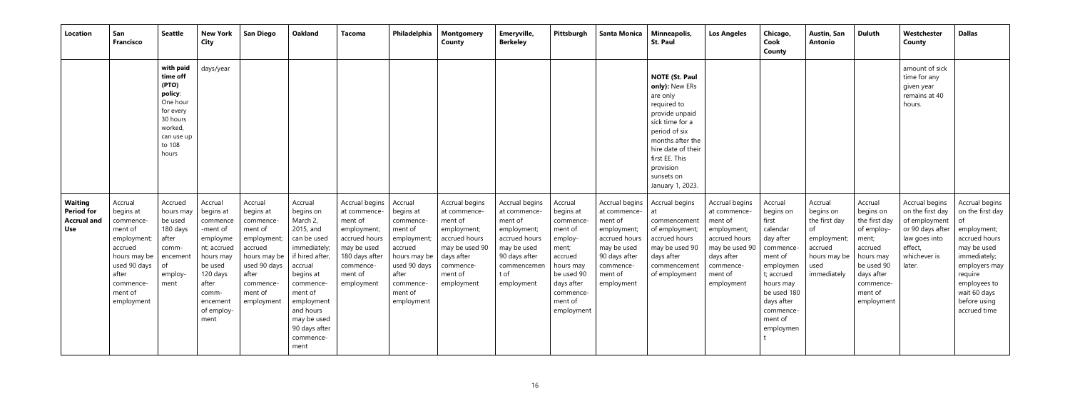| Location                                                                | San<br><b>Francisco</b>                                                                                                                               | Seattle                                                                                                                    | <b>New York</b><br><b>City</b>                                                                                                                                  | <b>San Diego</b>                                                                                                                                     | <b>Oakland</b>                                                                                                                                                                                                                  | <b>Tacoma</b>                                                                                                                                    | Philadelphia                                                                                                                                                             | <b>Montgomery</b><br>County                                                                                                       | Emeryville,<br><b>Berkeley</b>                                                                                                                 | Pittsburgh                                                                                                                                                 | <b>Santa Monica</b>                                                                                                                             | Minneapolis,<br><b>St. Paul</b>                                                                                                                                                                                                     | <b>Los Angeles</b>                                                                                                                              | Chicago,<br>Cook<br>County                                                                                                                                                               | Austin, San<br><b>Antonio</b>                                                                                | <b>Duluth</b>                                                                                                                                          | Westchester<br>County                                                                                                         | <b>Dallas</b>                                                                                                                                                                                       |
|-------------------------------------------------------------------------|-------------------------------------------------------------------------------------------------------------------------------------------------------|----------------------------------------------------------------------------------------------------------------------------|-----------------------------------------------------------------------------------------------------------------------------------------------------------------|------------------------------------------------------------------------------------------------------------------------------------------------------|---------------------------------------------------------------------------------------------------------------------------------------------------------------------------------------------------------------------------------|--------------------------------------------------------------------------------------------------------------------------------------------------|--------------------------------------------------------------------------------------------------------------------------------------------------------------------------|-----------------------------------------------------------------------------------------------------------------------------------|------------------------------------------------------------------------------------------------------------------------------------------------|------------------------------------------------------------------------------------------------------------------------------------------------------------|-------------------------------------------------------------------------------------------------------------------------------------------------|-------------------------------------------------------------------------------------------------------------------------------------------------------------------------------------------------------------------------------------|-------------------------------------------------------------------------------------------------------------------------------------------------|------------------------------------------------------------------------------------------------------------------------------------------------------------------------------------------|--------------------------------------------------------------------------------------------------------------|--------------------------------------------------------------------------------------------------------------------------------------------------------|-------------------------------------------------------------------------------------------------------------------------------|-----------------------------------------------------------------------------------------------------------------------------------------------------------------------------------------------------|
|                                                                         |                                                                                                                                                       | with paid<br>time off<br>(PTO)<br>policy:<br>One hour<br>for every<br>30 hours<br>worked,<br>can use up<br>to 108<br>hours | days/year                                                                                                                                                       |                                                                                                                                                      |                                                                                                                                                                                                                                 |                                                                                                                                                  |                                                                                                                                                                          |                                                                                                                                   |                                                                                                                                                |                                                                                                                                                            |                                                                                                                                                 | <b>NOTE (St. Paul</b><br>only): New ERs<br>are only<br>required to<br>provide unpaid<br>sick time for a<br>period of six<br>months after the<br>hire date of their<br>first EE. This<br>provision<br>sunsets on<br>January 1, 2023. |                                                                                                                                                 |                                                                                                                                                                                          |                                                                                                              |                                                                                                                                                        | amount of sick<br>time for any<br>given year<br>remains at 40<br>hours.                                                       |                                                                                                                                                                                                     |
| <b>Waiting</b><br><b>Period for</b><br><b>Accrual and</b><br><b>Use</b> | Accrual<br>begins at<br>commence-<br>ment of<br>employment;<br>accrued<br>hours may be<br>used 90 days<br>after<br>commence-<br>ment of<br>employment | Accrued<br>hours may<br>be used<br>180 days<br>after<br>comm-<br>encement<br>of<br>employ-<br>ment                         | Accrual<br>begins at<br>commence<br>-ment of<br>employme<br>nt; accrued<br>hours may<br>be used<br>120 days<br>after<br>comm-<br>encement<br>of employ-<br>ment | Accrual<br>begins at<br>commence<br>ment of<br>employment;<br>accrued<br>hours may be<br>used 90 days<br>after<br>commence-<br>ment of<br>employment | Accrual<br>begins on<br>March 2,<br>2015, and<br>can be used<br>immediately;<br>if hired after,<br>accrual<br>begins at<br>commence-<br>ment of<br>employment<br>and hours<br>may be used<br>90 days after<br>commence-<br>ment | Accrual begins<br>at commence-<br>ment of<br>employment;<br>accrued hours<br>may be used<br>180 days after<br>commence-<br>ment of<br>employment | Accrual<br>begins at<br>commence-<br>ment of<br>employment;<br>accrued<br>hours may be $\vert$ days after<br>used 90 days<br>after<br>commence-<br>ment of<br>employment | Accrual begins<br>at commence-<br>ment of<br>employment;<br>accrued hours<br>may be used 90<br>commence-<br>ment of<br>employment | Accrual begins<br>at commence-<br>ment of<br>employment;<br>accrued hours<br>may be used<br>90 days after<br>commencemen<br>t of<br>employment | Accrual<br>begins at<br>commence-<br>ment of<br>employ-<br>ment;<br>accrued<br>hours may<br>be used 90<br>days after<br>commence-<br>ment of<br>employment | Accrual begins<br>at commence-<br>ment of<br>employment;<br>accrued hours<br>may be used<br>90 days after<br>commence-<br>ment of<br>employment | Accrual begins<br>at<br>commencement<br>of employment;<br>accrued hours<br>may be used 90<br>days after<br>commencement<br>of employment                                                                                            | Accrual begins<br>at commence-<br>ment of<br>employment;<br>accrued hours<br>may be used 90<br>days after<br>commence-<br>ment of<br>employment | Accrual<br>begins on<br>first<br>calendar<br>day after<br>commence-<br>ment of<br>employmen<br>t; accrued<br>hours may<br>be used 180<br>days after<br>commence-<br>ment of<br>employmen | Accrual<br>begins on<br>the first day<br>of<br>employment;<br>accrued<br>hours may be<br>used<br>immediately | Accrual<br>begins on<br>the first day<br>of employ-<br>ment;<br>accrued<br>hours may<br>be used 90<br>days after<br>commence-<br>ment of<br>employment | Accrual begins<br>on the first day<br>of employment<br>or 90 days after<br>law goes into<br>effect,<br>whichever is<br>later. | Accrual begins<br>on the first day<br>of<br>employment;<br>accrued hours<br>may be used<br>immediately;<br>employers may<br>require<br>employees to<br>wait 60 days<br>before using<br>accrued time |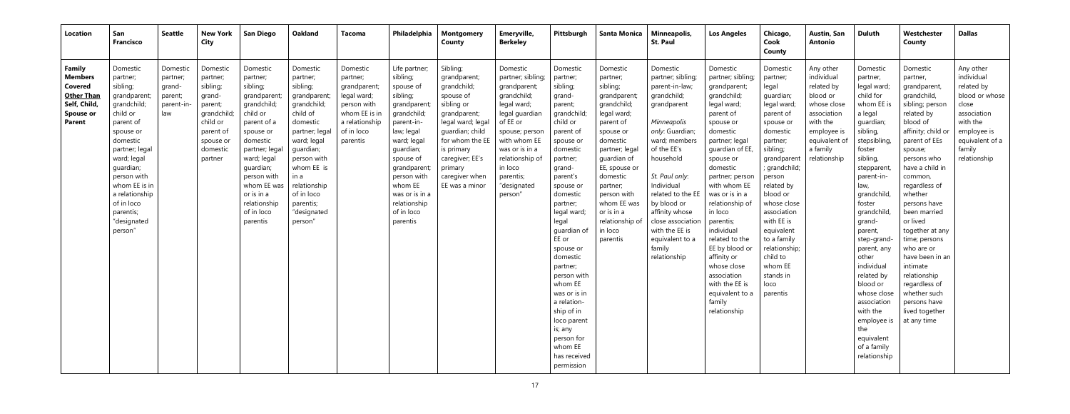| <b>Location</b>                                                                                        | San<br><b>Francisco</b>                                                                                                                                                                                                                                               | Seattle                                                       | <b>New York</b><br><b>City</b>                                                                                                    | <b>San Diego</b>                                                                                                                                                                                                                                      | <b>Oakland</b>                                                                                                                                                                                                                                 | Tacoma                                                                                                                          | Philadelphia                                                                                                                                                                                                                                               | <b>Montgomery</b><br>County                                                                                                                                                                                                   | Emeryville,<br><b>Berkeley</b>                                                                                                                                                                                                     | Pittsburgh                                                                                                                                                                                                                                                                                                                                                                                                                                | Santa Monica                                                                                                                                                                                                                                                                         | Minneapolis,<br><b>St. Paul</b>                                                                                                                                                                                                                                                                                                       | <b>Los Angeles</b>                                                                                                                                                                                                                                                                                                                                                                                                                            | Chicago,<br>Cook<br>County                                                                                                                                                                                                                                                                                                                    | <b>Austin, San</b><br><b>Antonio</b>                                                                                                                    | Duluth                                                                                                                                                                                                                                                                                                                                                                                                                                 | Westchester<br>County                                                                                                                                                                                                                                                                                                                                                                                                                                      | <b>Dallas</b>                                                                                                                                           |
|--------------------------------------------------------------------------------------------------------|-----------------------------------------------------------------------------------------------------------------------------------------------------------------------------------------------------------------------------------------------------------------------|---------------------------------------------------------------|-----------------------------------------------------------------------------------------------------------------------------------|-------------------------------------------------------------------------------------------------------------------------------------------------------------------------------------------------------------------------------------------------------|------------------------------------------------------------------------------------------------------------------------------------------------------------------------------------------------------------------------------------------------|---------------------------------------------------------------------------------------------------------------------------------|------------------------------------------------------------------------------------------------------------------------------------------------------------------------------------------------------------------------------------------------------------|-------------------------------------------------------------------------------------------------------------------------------------------------------------------------------------------------------------------------------|------------------------------------------------------------------------------------------------------------------------------------------------------------------------------------------------------------------------------------|-------------------------------------------------------------------------------------------------------------------------------------------------------------------------------------------------------------------------------------------------------------------------------------------------------------------------------------------------------------------------------------------------------------------------------------------|--------------------------------------------------------------------------------------------------------------------------------------------------------------------------------------------------------------------------------------------------------------------------------------|---------------------------------------------------------------------------------------------------------------------------------------------------------------------------------------------------------------------------------------------------------------------------------------------------------------------------------------|-----------------------------------------------------------------------------------------------------------------------------------------------------------------------------------------------------------------------------------------------------------------------------------------------------------------------------------------------------------------------------------------------------------------------------------------------|-----------------------------------------------------------------------------------------------------------------------------------------------------------------------------------------------------------------------------------------------------------------------------------------------------------------------------------------------|---------------------------------------------------------------------------------------------------------------------------------------------------------|----------------------------------------------------------------------------------------------------------------------------------------------------------------------------------------------------------------------------------------------------------------------------------------------------------------------------------------------------------------------------------------------------------------------------------------|------------------------------------------------------------------------------------------------------------------------------------------------------------------------------------------------------------------------------------------------------------------------------------------------------------------------------------------------------------------------------------------------------------------------------------------------------------|---------------------------------------------------------------------------------------------------------------------------------------------------------|
| Family<br><b>Members</b><br>Covered<br><b>Other Than</b><br>Self, Child,<br><b>Spouse or</b><br>Parent | Domestic<br>partner;<br>sibling;<br>grandparent<br>grandchild;<br>child or<br>parent of<br>spouse or<br>domestic<br>partner; legal<br>ward; legal<br>guardian;<br>person with<br>whom EE is in<br>a relationship<br>of in loco<br>parentis;<br>"designated<br>person' | Domestic<br>partner;<br>grand-<br>parent;<br>parent-in<br>law | Domestic<br>partner;<br>sibling;<br>grand-<br>parent;<br>grandchild;<br>child or<br>parent of<br>spouse or<br>domestic<br>partner | Domestic<br>partner;<br>sibling;<br>grandparen<br>grandchild;<br>child or<br>parent of a<br>spouse or<br>domestic<br>partner; legal<br>ward; legal<br>guardian;<br>person with<br>whom EE was<br>or is in a<br>relationship<br>of in loco<br>parentis | Domestic<br>partner;<br>sibling;<br>grandparent<br>grandchild;<br>child of<br>domestic<br>partner; legal<br>ward; legal<br>quardian;<br>person with<br>whom EE is<br>in a<br>relationship<br>of in loco<br>parentis;<br>"designated<br>person" | Domestic<br>partner;<br>grandparent;<br>legal ward;<br>person with<br>whom EE is in<br>a relationship<br>of in loco<br>parentis | Life partner;<br>sibling;<br>spouse of<br>sibling;<br>grandparent<br>grandchild;<br>parent-in-<br>law; legal<br>ward; legal<br>guardian;<br>spouse of<br>grandparent<br>person with<br>whom EE<br>was or is in a<br>relationship<br>of in loco<br>parentis | Sibling;<br>grandparent;<br>grandchild;<br>spouse of<br>sibling or<br>grandparent;<br>legal ward; legal<br>quardian; child<br>for whom the EE<br>is primary<br>caregiver; EE's<br>primary<br>caregiver when<br>EE was a minor | Domestic<br>partner; sibling;<br>grandparent;<br>grandchild;<br>legal ward;<br>legal guardian<br>of EE or<br>spouse; person<br>with whom EE<br>was or is in a<br>relationship of<br>in loco<br>parentis;<br>"designated<br>person" | Domestic<br>partner;<br>sibling;<br>grand-<br>parent;<br>grandchild<br>child or<br>parent of<br>spouse or<br>domestic<br>partner;<br>grand-<br>parent's<br>spouse or<br>domestic<br>partner;<br>legal ward;<br>legal<br>quardian of<br>EE or<br>spouse or<br>domestic<br>partner;<br>person with<br>whom EE<br>was or is in<br>a relation-<br>ship of in<br>loco parent<br>is; any<br>person for<br>whom EE<br>has received<br>permission | Domestic<br>partner;<br>sibling;<br>grandparent;<br>grandchild;<br>legal ward;<br>parent of<br>spouse or<br>domestic<br>partner; legal<br>quardian of<br>EE, spouse or<br>domestic<br>partner;<br>person with<br>whom EE was<br>or is in a<br>relationship of<br>in loco<br>parentis | Domestic<br>partner; sibling;<br>parent-in-law;<br>grandchild;<br>grandparent<br>Minneapolis<br>only: Guardian;<br>ward; members<br>of the EE's<br>household<br>St. Paul only:<br>Individual<br>related to the EE<br>by blood or<br>affinity whose<br>close associatio<br>with the EE is<br>equivalent to a<br>family<br>relationship | Domestic<br>partner; sibling;<br>grandparent;<br>grandchild;<br>legal ward;<br>parent of<br>spouse or<br>domestic<br>partner; legal<br>quardian of EE,<br>spouse or<br>domestic<br>partner; person<br>with whom EE<br>was or is in a<br>relationship of<br>in loco<br>parentis;<br>individual<br>related to the<br>EE by blood or<br>affinity or<br>whose close<br>association<br>with the EE is<br>equivalent to a<br>family<br>relationship | Domestic<br>partner;<br>legal<br>quardian;<br>legal ward;<br>parent of<br>spouse or<br>domestic<br>partner;<br>sibling;<br>grandparent<br>; grandchild;<br>person<br>related by<br>blood or<br>whose close<br>association<br>with EE is<br>equivalent<br>to a family<br>relationship;<br>child to<br>whom EE<br>stands in<br>loco<br>parentis | Any other<br>individual<br>related by<br>blood or<br>whose close<br>association<br>with the<br>employee is<br>equivalent of<br>a family<br>relationship | Domestic<br>partner,<br>legal ward;<br>child for<br>whom EE is<br>a legal<br>quardian;<br>sibling,<br>stepsibling,<br>foster<br>sibling,<br>stepparent,<br>parent-in-<br>law,<br>grandchild,<br>foster<br>grandchild,<br>grand-<br>parent,<br>step-grand-<br>parent, any<br>other<br>individual<br>related by<br>blood or<br>whose close<br>association<br>with the<br>employee is<br>the<br>equivalent<br>of a family<br>relationship | Domestic<br>partner,<br>grandparent,<br>grandchild,<br>sibling; person<br>related by<br>blood of<br>affinity; child or<br>parent of EEs<br>spouse;<br>persons who<br>have a child in<br>common,<br>regardless of<br>whether<br>persons have<br>been married<br>or lived<br>together at any<br>time; persons<br>who are or<br>have been in an<br>intimate<br>relationship<br>regardless of<br>whether such<br>persons have<br>lived together<br>at any time | Any other<br>individual<br>related by<br>blood or whose<br>close<br>association<br>with the<br>employee is<br>equivalent of a<br>family<br>relationship |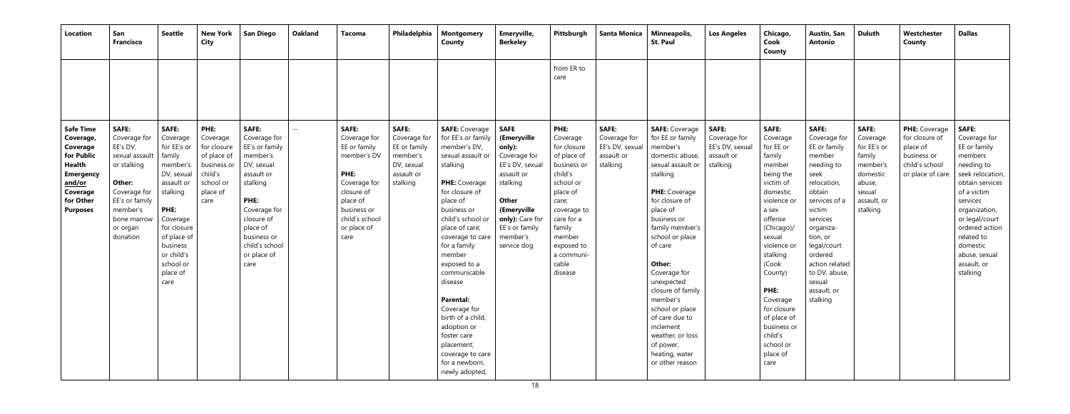| Location                                                                                                                                           | San<br><b>Francisco</b>                                                                                                                                                  | Seattle                                                                                                                                                                                                            | <b>New York</b><br><b>City</b>                                                                            | <b>San Diego</b>                                                                                                                                                                                             | <b>Oakland</b> | Tacoma                                                                                                                                                                | Philadelphia                                                                                     | <b>Montgomery</b><br>County                                                                                                                                                                                                                                                                                                                                                                                                | Emeryville,<br><b>Berkeley</b>                                                                                                                                                                   | Pittsburgh                                                                                                                                                                                                  | <b>Santa Monica</b>                                                       | Minneapolis,<br><b>St. Paul</b>                                                                                                                                                                                                                                                                                                                                                                        | <b>Los Angeles</b>                                                 | Chicago,<br>Cook<br>County                                                                                                                                                                                                                                                                                     | Austin, San<br>Antonio                                                                                                                                                                                                                                           | <b>Duluth</b>                                                                                                            | Westchester<br>County                                                                            | <b>Dallas</b>                                                                                                                                                                                                                                                      |
|----------------------------------------------------------------------------------------------------------------------------------------------------|--------------------------------------------------------------------------------------------------------------------------------------------------------------------------|--------------------------------------------------------------------------------------------------------------------------------------------------------------------------------------------------------------------|-----------------------------------------------------------------------------------------------------------|--------------------------------------------------------------------------------------------------------------------------------------------------------------------------------------------------------------|----------------|-----------------------------------------------------------------------------------------------------------------------------------------------------------------------|--------------------------------------------------------------------------------------------------|----------------------------------------------------------------------------------------------------------------------------------------------------------------------------------------------------------------------------------------------------------------------------------------------------------------------------------------------------------------------------------------------------------------------------|--------------------------------------------------------------------------------------------------------------------------------------------------------------------------------------------------|-------------------------------------------------------------------------------------------------------------------------------------------------------------------------------------------------------------|---------------------------------------------------------------------------|--------------------------------------------------------------------------------------------------------------------------------------------------------------------------------------------------------------------------------------------------------------------------------------------------------------------------------------------------------------------------------------------------------|--------------------------------------------------------------------|----------------------------------------------------------------------------------------------------------------------------------------------------------------------------------------------------------------------------------------------------------------------------------------------------------------|------------------------------------------------------------------------------------------------------------------------------------------------------------------------------------------------------------------------------------------------------------------|--------------------------------------------------------------------------------------------------------------------------|--------------------------------------------------------------------------------------------------|--------------------------------------------------------------------------------------------------------------------------------------------------------------------------------------------------------------------------------------------------------------------|
|                                                                                                                                                    |                                                                                                                                                                          |                                                                                                                                                                                                                    |                                                                                                           |                                                                                                                                                                                                              |                |                                                                                                                                                                       |                                                                                                  |                                                                                                                                                                                                                                                                                                                                                                                                                            |                                                                                                                                                                                                  | from ER to<br>care                                                                                                                                                                                          |                                                                           |                                                                                                                                                                                                                                                                                                                                                                                                        |                                                                    |                                                                                                                                                                                                                                                                                                                |                                                                                                                                                                                                                                                                  |                                                                                                                          |                                                                                                  |                                                                                                                                                                                                                                                                    |
| <b>Safe Time</b><br>Coverage,<br>Coverage<br>for Public<br>Health<br><b>Emergency</b><br><u>and/or</u><br>Coverage<br>for Other<br><b>Purposes</b> | <b>SAFE:</b><br>Coverage for<br>EE's DV,<br>sexual assault<br>or stalking<br>Other:<br>Coverage for<br>EE's or family<br>member's<br>bone marrov<br>or organ<br>donation | <b>SAFE:</b><br>Coverage<br>for EE's or<br>family<br>member's<br>DV, sexual<br>assault or<br>stalking<br>PHE:<br>Coverage<br>for closure<br>of place of<br>business<br>or child's<br>school or<br>place of<br>care | PHE:<br>Coverage<br>for closure<br>of place of<br>business or<br>child's<br>school or<br>place of<br>care | <b>SAFE:</b><br>Coverage for<br>EE's or family<br>member's<br>DV, sexual<br>assault or<br>stalking<br>PHE:<br>Coverage for<br>closure of<br>place of<br>business or<br>child's school<br>or place of<br>care | $- -$          | <b>SAFE:</b><br>Coverage for<br>EE or family<br>member's DV<br>PHE:<br>Coverage for<br>closure of<br>place of<br>business or<br>child's school<br>or place of<br>care | <b>SAFE:</b><br>Coverage for<br>EE or family<br>member's<br>DV, sexual<br>assault or<br>stalking | <b>SAFE:</b> Coverage<br>for EE's or family<br>member's DV,<br>sexual assault or<br>stalking<br><b>PHE:</b> Coverage<br>for closure of<br>place of<br>business or<br>child's school or<br>place of care;<br>coverage to care<br>for a family<br>member<br>exposed to a<br>communicable<br>disease<br><b>Parental:</b><br>Coverage for<br>birth of a child,<br>adoption or<br>foster care<br>placement;<br>coverage to care | <b>SAFE</b><br>(Emeryville<br>only):<br>Coverage for<br>EE's DV, sexual<br>assault or<br>stalking<br><b>Other</b><br>(Emeryville<br>only): Care for<br>EE's or family<br>member's<br>service dog | PHE:<br>Coverage<br>for closure<br>of place of<br>business or<br>child's<br>school or<br>place of<br>care;<br>coverage to<br>care for a<br>family<br>member<br>exposed to<br>a communi-<br>cable<br>disease | <b>SAFE:</b><br>Coverage for<br>EE's DV, sexual<br>assault or<br>stalking | <b>SAFE: Coverage</b><br>for EE or family<br>member's<br>domestic abuse,<br>sexual assault or<br>stalking<br>PHE: Coverage<br>for closure of<br>place of<br>business or<br>family member's<br>school or place<br>of care<br>Other:<br>Coverage for<br>unexpected<br>closure of family<br>member's<br>school or place<br>of care due to<br>inclement<br>weather, or loss<br>of power,<br>heating, water | SAFE:<br>Coverage for<br>EE's DV, sexual<br>assault or<br>stalking | <b>SAFE:</b><br>Coverage<br>for EE or<br>family<br>member<br>being the<br>victim of<br>domestic<br>violence or<br>a sex<br>offense<br>(Chicago)/<br>sexual<br>violence or<br>stalking<br>(Cook<br>County)<br>PHE:<br>Coverage<br>for closure<br>of place of<br>business or<br>child's<br>school or<br>place of | SAFE:<br>Coverage for<br>EE or family<br>member<br>needing to<br>seek<br>relocation,<br>obtain<br>services of a<br>victim<br>services<br>organiza-<br>tion, or<br>legal/court<br>ordered<br>action related<br>to DV, abuse,<br>sexual<br>assault, or<br>stalking | <b>SAFE:</b><br>Coverage<br>for EE's or<br>family<br>member's<br>domestic<br>abuse,<br>sexual<br>assault, or<br>stalking | PHE: Coverage<br>for closure of<br>place of<br>business or<br>child's school<br>or place of care | <b>SAFE:</b><br>Coverage for<br>EE or family<br>members<br>needing to<br>seek relocation,<br>obtain services<br>of a victim<br>services<br>organization,<br>or legal/court<br>ordered action<br>related to<br>domestic<br>abuse, sexual<br>assault, or<br>stalking |
|                                                                                                                                                    |                                                                                                                                                                          |                                                                                                                                                                                                                    |                                                                                                           |                                                                                                                                                                                                              |                |                                                                                                                                                                       |                                                                                                  | for a newborn,<br>newly adopted,                                                                                                                                                                                                                                                                                                                                                                                           |                                                                                                                                                                                                  |                                                                                                                                                                                                             |                                                                           | or other reason                                                                                                                                                                                                                                                                                                                                                                                        |                                                                    | care                                                                                                                                                                                                                                                                                                           |                                                                                                                                                                                                                                                                  |                                                                                                                          |                                                                                                  |                                                                                                                                                                                                                                                                    |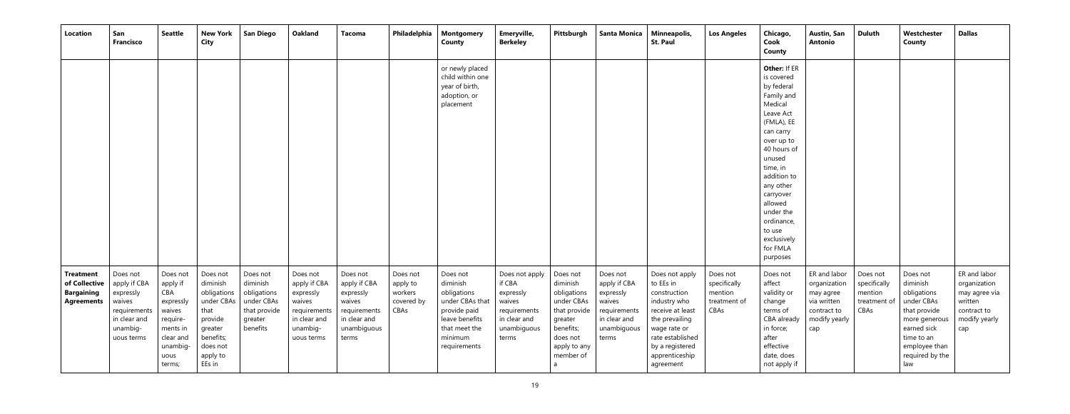| <b>Location</b>                                                             | San<br><b>Francisco</b>                                                                                   | <b>Seattle</b>                                                                                                       | <b>New York</b><br><b>City</b>                                                                                                 | <b>San Diego</b>                                                                         | <b>Oakland</b>                                                                                            | <b>Tacoma</b>                                                                                           | Philadelphia                                          | <b>Montgomery</b><br><b>County</b>                                                                                                   | Emeryville,<br><b>Berkeley</b>                                                                          | Pittsburgh                                                                                                                         | <b>Santa Monica</b>                                                                                     | Minneapolis,<br><b>St. Paul</b>                                                                                                                                                         | <b>Los Angeles</b>                                          | Chicago,<br>Cook<br>County                                                                                                                                                                                                                                                                   | Austin, San<br><b>Antonio</b>                                                                   | <b>Duluth</b>                                               | Westchester<br>County                                                                                                                                      | <b>Dallas</b>                                                                                   |
|-----------------------------------------------------------------------------|-----------------------------------------------------------------------------------------------------------|----------------------------------------------------------------------------------------------------------------------|--------------------------------------------------------------------------------------------------------------------------------|------------------------------------------------------------------------------------------|-----------------------------------------------------------------------------------------------------------|---------------------------------------------------------------------------------------------------------|-------------------------------------------------------|--------------------------------------------------------------------------------------------------------------------------------------|---------------------------------------------------------------------------------------------------------|------------------------------------------------------------------------------------------------------------------------------------|---------------------------------------------------------------------------------------------------------|-----------------------------------------------------------------------------------------------------------------------------------------------------------------------------------------|-------------------------------------------------------------|----------------------------------------------------------------------------------------------------------------------------------------------------------------------------------------------------------------------------------------------------------------------------------------------|-------------------------------------------------------------------------------------------------|-------------------------------------------------------------|------------------------------------------------------------------------------------------------------------------------------------------------------------|-------------------------------------------------------------------------------------------------|
|                                                                             |                                                                                                           |                                                                                                                      |                                                                                                                                |                                                                                          |                                                                                                           |                                                                                                         |                                                       | or newly placed<br>child within one<br>year of birth,<br>adoption, or<br>placement                                                   |                                                                                                         |                                                                                                                                    |                                                                                                         |                                                                                                                                                                                         |                                                             | Other: If ER<br>is covered<br>by federal<br>Family and<br>Medical<br>Leave Act<br>(FMLA), EE<br>can carry<br>over up to<br>40 hours of<br>unused<br>time, in<br>addition to<br>any other<br>carryover<br>allowed<br>under the<br>ordinance,<br>to use<br>exclusively<br>for FMLA<br>purposes |                                                                                                 |                                                             |                                                                                                                                                            |                                                                                                 |
| <b>Treatment</b><br>of Collective<br><b>Bargaining</b><br><b>Agreements</b> | Does not<br>apply if CBA<br>expressly<br>waives<br>requirements<br>in clear and<br>unambig-<br>uous terms | Does not<br>apply if<br>CBA<br>expressly<br>waives<br>require-<br>ments in<br>clear and<br>unambig<br>uous<br>terms; | Does not<br>diminish<br>obligations<br>under CBAs<br>that<br>provide<br>greater<br>benefits;<br>does not<br>apply to<br>EEs in | Does not<br>diminish<br>obligations<br>under CBAs<br>that provide<br>greater<br>benefits | Does not<br>apply if CBA<br>expressly<br>waives<br>requirements<br>in clear and<br>unambig-<br>uous terms | Does not<br>apply if CBA<br>expressly<br>waives<br>requirements<br>in clear and<br>unambiguous<br>terms | Does not<br>apply to<br>workers<br>covered by<br>CBAs | Does not<br>diminish<br>obligations<br>under CBAs that<br>provide paid<br>leave benefits<br>that meet the<br>minimum<br>requirements | Does not apply<br>if CBA<br>expressly<br>waives<br>requirements<br>in clear and<br>unambiguous<br>terms | Does not<br>diminish<br>obligations<br>under CBAs<br>that provide<br>greater<br>benefits;<br>does not<br>apply to any<br>member of | Does not<br>apply if CBA<br>expressly<br>waives<br>requirements<br>in clear and<br>unambiguous<br>terms | Does not apply<br>to EEs in<br>construction<br>industry who<br>receive at least<br>the prevailing<br>wage rate or<br>rate established<br>by a registered<br>apprenticeship<br>agreement | Does not<br>specifically<br>mention<br>treatment of<br>CBAs | Does not<br>affect<br>validity or<br>change<br>terms of<br>CBA already<br>in force;<br>after<br>effective<br>date, does<br>not apply if                                                                                                                                                      | ER and labor<br>organization<br>may agree<br>via written<br>contract to<br>modify yearly<br>cap | Does not<br>specifically<br>mention<br>treatment of<br>CBAs | Does not<br>diminish<br>obligations<br>under CBAs<br>that provide<br>more generous<br>earned sick<br>time to an<br>employee than<br>required by the<br>law | ER and labor<br>organization<br>may agree via<br>written<br>contract to<br>modify yearly<br>cap |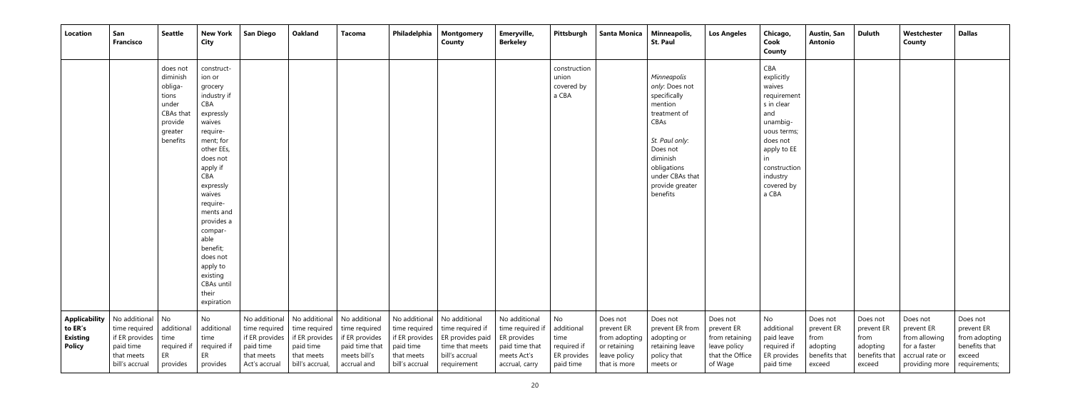| Location                                              | San<br><b>Francisco</b>                                                                                                      | <b>Seattle</b>                                                                                   | <b>New York</b><br>City                                                                                                                                                                                                                                                                                                  | <b>San Diego</b>                                                                             | <b>Oakland</b>                                                                                 | <b>Tacoma</b>                                                                                     | Philadelphia                                                                 | <b>Montgomery</b><br>County                                                                                                 | Emeryville,<br><b>Berkeley</b>                                                                      | Pittsburgh                                                          | <b>Santa Monica</b>                                                                     | Minneapolis,<br><b>St. Paul</b>                                                                                                                                                             | <b>Los Angeles</b>                                                                     | Chicago,<br>Cook<br>County                                                                                                                                               | Austin, San<br><b>Antonio</b>                                         | <b>Duluth</b>                                                         | Westchester<br>County                                                                        | <b>Dallas</b>                                                                       |
|-------------------------------------------------------|------------------------------------------------------------------------------------------------------------------------------|--------------------------------------------------------------------------------------------------|--------------------------------------------------------------------------------------------------------------------------------------------------------------------------------------------------------------------------------------------------------------------------------------------------------------------------|----------------------------------------------------------------------------------------------|------------------------------------------------------------------------------------------------|---------------------------------------------------------------------------------------------------|------------------------------------------------------------------------------|-----------------------------------------------------------------------------------------------------------------------------|-----------------------------------------------------------------------------------------------------|---------------------------------------------------------------------|-----------------------------------------------------------------------------------------|---------------------------------------------------------------------------------------------------------------------------------------------------------------------------------------------|----------------------------------------------------------------------------------------|--------------------------------------------------------------------------------------------------------------------------------------------------------------------------|-----------------------------------------------------------------------|-----------------------------------------------------------------------|----------------------------------------------------------------------------------------------|-------------------------------------------------------------------------------------|
|                                                       |                                                                                                                              | does not<br>diminish<br>obliga-<br>tions<br>under<br>CBAs that<br>provide<br>greater<br>benefits | construct-<br>ion or<br>grocery<br>industry if<br>CBA<br>expressly<br>waives<br>require-<br>ment; for<br>other EEs,<br>does not<br>apply if<br>CBA<br>expressly<br>waives<br>require-<br>ments and<br>provides a<br>compar-<br>able<br>benefit;<br>does not<br>apply to<br>existing<br>CBAs until<br>their<br>expiration |                                                                                              |                                                                                                |                                                                                                   |                                                                              |                                                                                                                             |                                                                                                     | construction<br>union<br>covered by<br>a CBA                        |                                                                                         | Minneapolis<br>only: Does not<br>specifically<br>mention<br>treatment of<br>CBAs<br>St. Paul only:<br>Does not<br>diminish<br>obligations<br>under CBAs that<br>provide greater<br>benefits |                                                                                        | CBA<br>explicitly<br>waives<br>requirement<br>s in clear<br>and<br>unambig-<br>uous terms;<br>does not<br>apply to EE<br>construction<br>industry<br>covered by<br>a CBA |                                                                       |                                                                       |                                                                                              |                                                                                     |
| Applicability<br>to ER's<br><b>Existing</b><br>Policy | No additional No<br>time required $\vert$ additional<br>if ER provides $ $ time<br>paid time<br>that meets<br>bill's accrual | required if<br>ER.<br>provides                                                                   | No<br>additional<br>time<br>required if<br>ER<br>provides                                                                                                                                                                                                                                                                | No additional<br>time required<br>if ER provides<br>paid time<br>that meets<br>Act's accrual | No additional<br>time required<br>if ER provides<br>paid time<br>that meets<br>bill's accrual, | No additional<br>time required<br>if ER provides<br>paid time that<br>meets bill's<br>accrual and | No additional<br>if ER provides<br>paid time<br>that meets<br>bill's accrual | No additional<br>time required $ $ time required if<br>ER provides paid<br>time that meets<br>bill's accrual<br>requirement | No additional<br>time required if<br>ER provides<br>paid time that<br>meets Act's<br>accrual, carry | No<br>additional<br>time<br>required if<br>ER provides<br>paid time | Does not<br>prevent ER<br>from adopting<br>or retaining<br>leave policy<br>that is more | Does not<br>prevent ER from<br>adopting or<br>retaining leave<br>policy that<br>meets or                                                                                                    | Does not<br>prevent ER<br>from retaining<br>leave policy<br>that the Office<br>of Wage | No<br>additional<br>paid leave<br>required if<br>ER provides<br>paid time                                                                                                | Does not<br>prevent ER<br>from<br>adopting<br>benefits that<br>exceed | Does not<br>prevent ER<br>from<br>adopting<br>benefits that<br>exceed | Does not<br>prevent ER<br>from allowing<br>for a faster<br>accrual rate or<br>providing more | Does not<br>prevent ER<br>from adopting<br>benefits that<br>exceed<br>requirements; |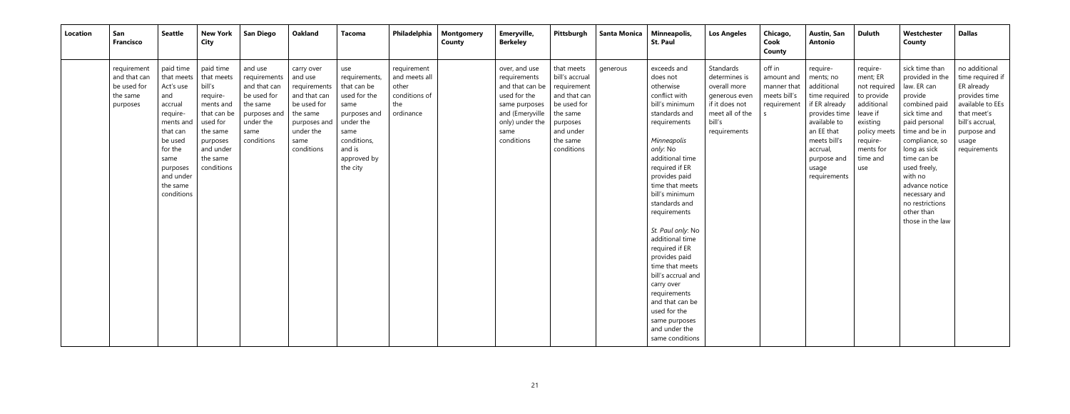| Location | San<br><b>Francisco</b>                                            | <b>Seattle</b>                                                                                                                                                               | <b>New York</b><br><b>City</b>                                                                                                                       | <b>San Diego</b>                                                                                                      | <b>Oakland</b>                                                                                                                      | Tacoma                                                                                                                                               | Philadelphia                                                               | <b>Montgomery</b><br>County | Emeryville,<br><b>Berkeley</b>                                                                                                                | Pittsburgh                                                                                                                                | <b>Santa Monica</b> | Minneapolis,<br><b>St. Paul</b>                                                                                                                                                                                                                                                                                                                                                                                                                                                                           | <b>Los Angeles</b>                                                                                                         | Chicago,<br>Cook<br>County                                         | Austin, San<br><b>Antonio</b>                                                                                                                                                            | <b>Duluth</b>                                                                                                                                        | Westchester<br>County                                                                                                                                                                                                                                                                                | <b>Dallas</b>                                                                                                                                                  |
|----------|--------------------------------------------------------------------|------------------------------------------------------------------------------------------------------------------------------------------------------------------------------|------------------------------------------------------------------------------------------------------------------------------------------------------|-----------------------------------------------------------------------------------------------------------------------|-------------------------------------------------------------------------------------------------------------------------------------|------------------------------------------------------------------------------------------------------------------------------------------------------|----------------------------------------------------------------------------|-----------------------------|-----------------------------------------------------------------------------------------------------------------------------------------------|-------------------------------------------------------------------------------------------------------------------------------------------|---------------------|-----------------------------------------------------------------------------------------------------------------------------------------------------------------------------------------------------------------------------------------------------------------------------------------------------------------------------------------------------------------------------------------------------------------------------------------------------------------------------------------------------------|----------------------------------------------------------------------------------------------------------------------------|--------------------------------------------------------------------|------------------------------------------------------------------------------------------------------------------------------------------------------------------------------------------|------------------------------------------------------------------------------------------------------------------------------------------------------|------------------------------------------------------------------------------------------------------------------------------------------------------------------------------------------------------------------------------------------------------------------------------------------------------|----------------------------------------------------------------------------------------------------------------------------------------------------------------|
|          | requirement<br>and that can<br>be used for<br>the same<br>purposes | paid time<br>that meets<br>Act's use<br>and<br>accrual<br>require-<br>ments and<br>that can<br>be used<br>for the<br>same<br>purposes<br>and under<br>the same<br>conditions | paid time<br>that meets<br>bill's<br>require-<br>ments and<br>that can be<br>used for<br>the same<br>purposes<br>and under<br>the same<br>conditions | and use<br>requirements<br>and that can<br>be used for<br>the same<br>purposes and<br>under the<br>same<br>conditions | carry over<br>and use<br>requirements<br>and that can<br>be used for<br>the same<br>purposes and<br>under the<br>same<br>conditions | use<br>requirements,<br>that can be<br>used for the<br>same<br>purposes and<br>under the<br>same<br>conditions,<br>and is<br>approved by<br>the city | requirement<br>and meets all<br>other<br>conditions of<br>the<br>ordinance |                             | over, and use<br>requirements<br>and that can be<br>used for the<br>same purposes<br>and (Emeryville<br>only) under the<br>same<br>conditions | that meets<br>bill's accrual<br>requirement<br>and that can<br>be used for<br>the same<br>purposes<br>and under<br>the same<br>conditions | generous            | exceeds and<br>does not<br>otherwise<br>conflict with<br>bill's minimum<br>standards and<br>requirements<br>Minneapolis<br>only: No<br>additional time<br>required if ER<br>provides paid<br>time that meets<br>bill's minimum<br>standards and<br>requirements<br>St. Paul only: No<br>additional time<br>required if ER<br>provides paid<br>time that meets<br>bill's accrual and<br>carry over<br>requirements<br>and that can be<br>used for the<br>same purposes<br>and under the<br>same conditions | Standards<br>determines is<br>overall more<br>generous even<br>if it does not<br>meet all of the<br>bill's<br>requirements | off in<br>amount and<br>manner that<br>meets bill's<br>requirement | require-<br>ments; no<br>additional<br>time required<br>if ER already<br>provides time<br>available to<br>an EE that<br>meets bill's<br>accrual,<br>purpose and<br>usage<br>requirements | require-<br>ment; ER<br>not required<br>to provide<br>additional<br>leave if<br>existing<br>policy meets<br>require-<br>ments for<br>time and<br>use | sick time than<br>provided in the<br>law. ER can<br>provide<br>combined paid<br>sick time and<br>paid personal<br>time and be in<br>compliance, so<br>long as sick<br>time can be<br>used freely,<br>with no<br>advance notice<br>necessary and<br>no restrictions<br>other than<br>those in the law | no additional<br>time required if<br>ER already<br>provides time<br>available to EEs<br>that meet's<br>bill's accrual,<br>purpose and<br>usage<br>requirements |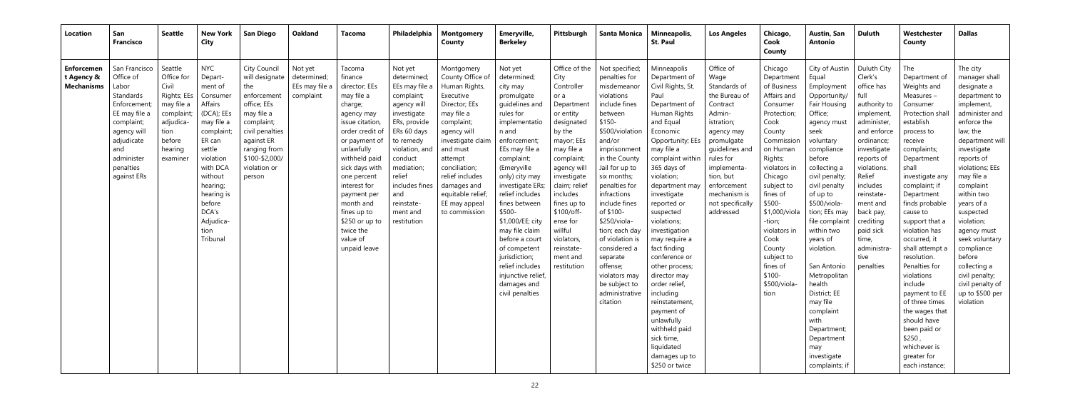| Location                                             | San<br><b>Francisco</b>                                                                                                                                                      | Seattle                                                                                                                         | <b>New York</b><br><b>City</b>                                                                                                                                                                                                         | <b>San Diego</b>                                                                                                                                                                             | Oakland                                               | Tacoma                                                                                                                                                                                                                                                                                                                 | Philadelphia                                                                                                                                                                                                                                            | Montgomery<br>County                                                                                                                                                                                                                                                           | Emeryville,<br><b>Berkeley</b>                                                                                                                                                                                                                                                                                                                                                                                                  | Pittsburgh                                                                                                                                                                                                                                                                                                    | <b>Santa Monica</b>                                                                                                                                                                                                                                                                                                                                                                                                           | Minneapolis,<br><b>St. Paul</b>                                                                                                                                                                                                                                                                                                                                                                                                                                                                                                   | <b>Los Angeles</b>                                                                                                                                                                                                                           | Chicago,<br>Cook<br>County                                                                                                                                                                                                                                                                                                     | <b>Austin, San</b><br><b>Antonio</b>                                                                                                                                                                                                                                                                                                                                                                                                                | <b>Duluth</b>                                                                                                                                                                                                                                                                                       | Westchester<br>County                                                                                                                                                                                                                                                                                                                                                                                                                                                                                   | <b>Dallas</b>                                                                                                                                                                                                                                                                                                                                                                                                            |
|------------------------------------------------------|------------------------------------------------------------------------------------------------------------------------------------------------------------------------------|---------------------------------------------------------------------------------------------------------------------------------|----------------------------------------------------------------------------------------------------------------------------------------------------------------------------------------------------------------------------------------|----------------------------------------------------------------------------------------------------------------------------------------------------------------------------------------------|-------------------------------------------------------|------------------------------------------------------------------------------------------------------------------------------------------------------------------------------------------------------------------------------------------------------------------------------------------------------------------------|---------------------------------------------------------------------------------------------------------------------------------------------------------------------------------------------------------------------------------------------------------|--------------------------------------------------------------------------------------------------------------------------------------------------------------------------------------------------------------------------------------------------------------------------------|---------------------------------------------------------------------------------------------------------------------------------------------------------------------------------------------------------------------------------------------------------------------------------------------------------------------------------------------------------------------------------------------------------------------------------|---------------------------------------------------------------------------------------------------------------------------------------------------------------------------------------------------------------------------------------------------------------------------------------------------------------|-------------------------------------------------------------------------------------------------------------------------------------------------------------------------------------------------------------------------------------------------------------------------------------------------------------------------------------------------------------------------------------------------------------------------------|-----------------------------------------------------------------------------------------------------------------------------------------------------------------------------------------------------------------------------------------------------------------------------------------------------------------------------------------------------------------------------------------------------------------------------------------------------------------------------------------------------------------------------------|----------------------------------------------------------------------------------------------------------------------------------------------------------------------------------------------------------------------------------------------|--------------------------------------------------------------------------------------------------------------------------------------------------------------------------------------------------------------------------------------------------------------------------------------------------------------------------------|-----------------------------------------------------------------------------------------------------------------------------------------------------------------------------------------------------------------------------------------------------------------------------------------------------------------------------------------------------------------------------------------------------------------------------------------------------|-----------------------------------------------------------------------------------------------------------------------------------------------------------------------------------------------------------------------------------------------------------------------------------------------------|---------------------------------------------------------------------------------------------------------------------------------------------------------------------------------------------------------------------------------------------------------------------------------------------------------------------------------------------------------------------------------------------------------------------------------------------------------------------------------------------------------|--------------------------------------------------------------------------------------------------------------------------------------------------------------------------------------------------------------------------------------------------------------------------------------------------------------------------------------------------------------------------------------------------------------------------|
| <b>Enforcemen</b><br>t Agency &<br><b>Mechanisms</b> | San Francisco<br>Office of<br>Labor<br>Standards<br>Enforcement<br>EE may file a<br>complaint;<br>agency will<br>adjudicate<br>and<br>administer<br>penalties<br>against ERs | Seattle<br>Office for<br>Civil<br>Rights; EEs<br>may file a<br>complaint;<br>adjudica-<br>tion<br>before<br>hearing<br>examiner | <b>NYC</b><br>Depart-<br>ment of<br>Consume<br>Affairs<br>(DCA); EEs<br>may file a<br>complaint;<br>ER can<br>settle<br>violation<br>with DCA<br>without<br>hearing;<br>hearing is<br>before<br>DCA's<br>Adjudica-<br>tion<br>Tribunal | City Council<br>will designate<br>the<br>enforcement<br>office; EEs<br>may file a<br>complaint;<br>civil penalties<br>against ER<br>ranging from<br>\$100-\$2,000/<br>violation or<br>person | Not yet<br>determined;<br>EEs may file a<br>complaint | Tacoma<br>finance<br>director; EEs<br>may file a<br>charge;<br>agency may<br>issue citation<br>order credit of<br>or payment of<br>unlawfully<br>withheld paid<br>sick days with<br>one percent<br>interest for<br>payment per<br>month and<br>fines up to<br>$$250$ or up to<br>twice the<br>value of<br>unpaid leave | Not yet<br>determined;<br>EEs may file a<br>complaint;<br>agency will<br>investigate<br>ERs, provide<br>ERs 60 days<br>to remedy<br>violation, and<br>conduct<br>mediation;<br>relief<br>includes fines<br>and<br>reinstate-<br>ment and<br>restitution | Montgomery<br>County Office of<br>Human Rights,<br>Executive<br>Director; EEs<br>may file a<br>complaint;<br>agency will<br>investigate claim<br>and must<br>attempt<br>conciliation;<br>relief includes<br>damages and<br>equitable relief;<br>EE may appeal<br>to commission | Not yet<br>determined;<br>city may<br>promulgate<br>quidelines and<br>rules for<br>implementatio<br>n and<br>enforcement;<br>EEs may file a<br>complaint;<br>(Emeryville<br>only) city may<br>investigate ERs;<br>relief includes<br>fines between<br>\$500-<br>\$1,000/EE; city<br>may file claim<br>before a court<br>of competent<br>jurisdiction;<br>relief includes<br>injunctive relief<br>damages and<br>civil penalties | Office of the<br>City<br>Controller<br>or a<br>Department<br>or entity<br>designated<br>by the<br>mayor; EEs<br>may file a<br>complaint;<br>agency will<br>investigate<br>claim; relief<br>includes<br>fines up to<br>\$100/off-<br>ense for<br>willful<br>violators<br>reinstate-<br>ment and<br>restitution | Not specified;<br>penalties for<br>misdemeanor<br>violations<br>include fines<br>between<br>$$150-$<br>\$500/violation<br>and/or<br>imprisonment<br>in the County<br>Jail for up to<br>six months;<br>penalties for<br>infractions<br>include fines<br>of \$100-<br>\$250/viola-<br>tion; each day<br>of violation is<br>considered a<br>separate<br>offense;<br>violators may<br>be subject to<br>administrative<br>citation | Minneapolis<br>Department of<br>Civil Rights, St.<br>Paul<br>Department of<br>Human Rights<br>and Equal<br>Economic<br>Opportunity; EEs<br>may file a<br>complaint within<br>365 days of<br>violation;<br>department may<br>investigate<br>reported or<br>suspected<br>violations;<br>investigation<br>may require a<br>fact finding<br>conference or<br>other process;<br>director may<br>order relief,<br>including<br>reinstatement,<br>payment of<br>unlawfully<br>withheld paid<br>sick time,<br>liquidated<br>damages up to | Office of<br>Wage<br>Standards of<br>the Bureau of<br>Contract<br>Admin-<br>istration;<br>agency may<br>promulgate<br>quidelines and<br>rules for<br>implementa<br>tion, but<br>enforcement<br>mechanism is<br>not specifically<br>addressed | Chicago<br>Department<br>of Business<br>Affairs and<br>Consumer<br>Protection;<br>Cook<br>County<br>Commission<br>on Human<br>Rights;<br>violators in<br>Chicago<br>subject to<br>fines of<br>\$500-<br>\$1,000/viola<br>-tion;<br>violators in<br>Cook<br>County<br>subject to<br>fines of<br>$$100-$<br>\$500/viola-<br>tion | City of Austin<br>Equal<br>Employment<br>Opportunity/<br>Fair Housing<br>Office;<br>agency must<br>seek<br>voluntary<br>compliance<br>before<br>collecting a<br>civil penalty;<br>civil penalty<br>of up to<br>\$500/viola-<br>tion; EEs may<br>file complaint<br>within two<br>years of<br>violation.<br>San Antonio<br>Metropolitan<br>health<br>District; EE<br>may file<br>complaint<br>with<br>Department;<br>Department<br>may<br>investigate | Duluth City<br>Clerk's<br>office has<br>full<br>authority to<br>implement<br>administer<br>and enforce<br>ordinance;<br>investigate<br>reports of<br>violations.<br>Relief<br>includes<br>reinstate-<br>ment and<br>back pay<br>crediting<br>paid sick<br>time,<br>administra-<br>tive<br>penalties | The<br>Department of<br>Weights and<br>Measures -<br>Consumer<br>Protection shal<br>establish<br>process to<br>receive<br>complaints;<br>Department<br>shall<br>investigate any<br>complaint; if<br>Department<br>finds probable<br>cause to<br>support that a<br>violation has<br>occurred, it<br>shall attempt a<br>resolution.<br>Penalties for<br>violations<br>include<br>payment to EE<br>of three times<br>the wages that<br>should have<br>been paid or<br>\$250<br>whichever is<br>greater for | The city<br>manager shall<br>designate a<br>department to<br>implement,<br>administer and<br>enforce the<br>law; the<br>department will<br>investigate<br>reports of<br>violations; EEs<br>may file a<br>complaint<br>within two<br>years of a<br>suspected<br>violation;<br>agency must<br>seek voluntary<br>compliance<br>before<br>collecting a<br>civil penalty;<br>civil penalty of<br>up to \$500 per<br>violation |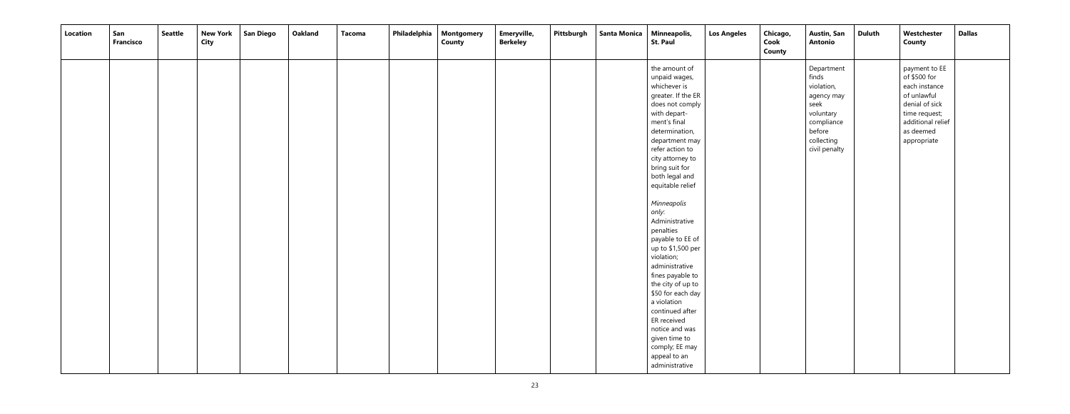| Location | San<br><b>Francisco</b> | <b>Seattle</b> | <b>New York</b><br><b>City</b> | <b>San Diego</b> | <b>Oakland</b> | <b>Tacoma</b> | Philadelphia   Montgomery<br><b>County</b> | Emeryville,<br><b>Berkeley</b> | Pittsburgh | Santa Monica | Minneapolis,<br><b>St. Paul</b>                                                                                                                                                                                                                                                                                                                                                                                                                                                                                                                                                                  | <b>Los Angeles</b> | Chicago,<br>Cook<br>County | <b>Austin, San</b><br><b>Antonio</b>                                                                                        | Duluth | Westchester<br><b>County</b>                                                                                                                      | <b>Dallas</b> |
|----------|-------------------------|----------------|--------------------------------|------------------|----------------|---------------|--------------------------------------------|--------------------------------|------------|--------------|--------------------------------------------------------------------------------------------------------------------------------------------------------------------------------------------------------------------------------------------------------------------------------------------------------------------------------------------------------------------------------------------------------------------------------------------------------------------------------------------------------------------------------------------------------------------------------------------------|--------------------|----------------------------|-----------------------------------------------------------------------------------------------------------------------------|--------|---------------------------------------------------------------------------------------------------------------------------------------------------|---------------|
|          |                         |                |                                |                  |                |               |                                            |                                |            |              | the amount of<br>unpaid wages,<br>whichever is<br>greater. If the ER<br>does not comply<br>with depart-<br>ment's final<br>determination,<br>department may<br>refer action to<br>city attorney to<br>bring suit for<br>both legal and<br>equitable relief<br>Minneapolis<br>only:<br>Administrative<br>penalties<br>payable to EE of<br>up to \$1,500 per<br>violation;<br>administrative<br>fines payable to<br>the city of up to<br>\$50 for each day<br>a violation<br>continued after<br>ER received<br>notice and was<br>given time to<br>comply; EE may<br>appeal to an<br>administrative |                    |                            | Department<br>finds<br>violation,<br>agency may<br>seek<br>voluntary<br>compliance<br>before<br>collecting<br>civil penalty |        | payment to EE<br>of \$500 for<br>each instance<br>of unlawful<br>denial of sick<br>time request;<br>additional relief<br>as deemed<br>appropriate |               |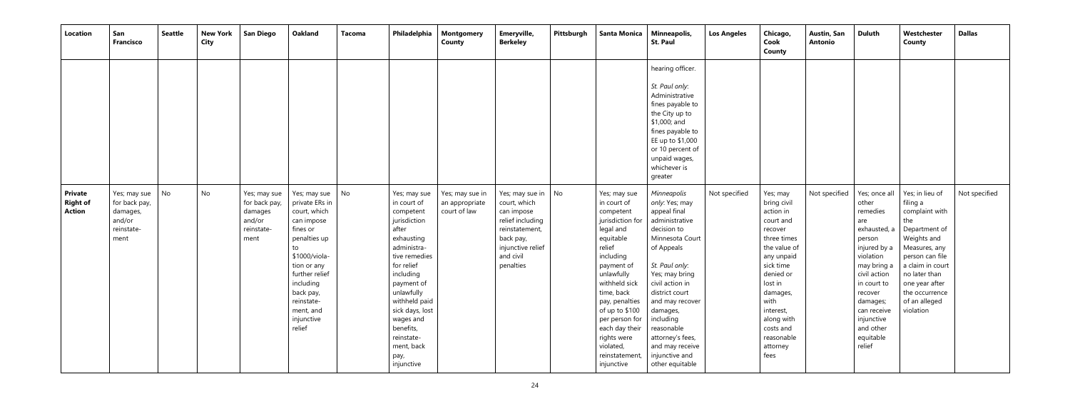| <b>Location</b>                             | San<br><b>Francisco</b>                                                   | <b>Seattle</b> | <b>New York</b><br><b>City</b> | <b>San Diego</b>                                                         | <b>Oakland</b><br><b>Tacoma</b>                                                                                                                                                                                                                              | Philadelphia                                                                                                                                                                                                                                                                           | Montgomery<br>County                              | Emeryville,<br><b>Berkeley</b>                                                                                                                  | Pittsburgh | <b>Santa Monica</b>                                                                                                                                                                                                                                                                                          | Minneapolis,<br><b>St. Paul</b>                                                                                                                                                                                                                                                                                                | <b>Los Angeles</b> | Chicago,<br>Cook<br>County                                                                                                                                                                                                                   | <b>Austin, San</b><br><b>Antonio</b> | <b>Duluth</b>                                                                                                                                                                                                                          | Westchester<br>County                                                                                                                                                                                                           | <b>Dallas</b> |
|---------------------------------------------|---------------------------------------------------------------------------|----------------|--------------------------------|--------------------------------------------------------------------------|--------------------------------------------------------------------------------------------------------------------------------------------------------------------------------------------------------------------------------------------------------------|----------------------------------------------------------------------------------------------------------------------------------------------------------------------------------------------------------------------------------------------------------------------------------------|---------------------------------------------------|-------------------------------------------------------------------------------------------------------------------------------------------------|------------|--------------------------------------------------------------------------------------------------------------------------------------------------------------------------------------------------------------------------------------------------------------------------------------------------------------|--------------------------------------------------------------------------------------------------------------------------------------------------------------------------------------------------------------------------------------------------------------------------------------------------------------------------------|--------------------|----------------------------------------------------------------------------------------------------------------------------------------------------------------------------------------------------------------------------------------------|--------------------------------------|----------------------------------------------------------------------------------------------------------------------------------------------------------------------------------------------------------------------------------------|---------------------------------------------------------------------------------------------------------------------------------------------------------------------------------------------------------------------------------|---------------|
|                                             |                                                                           |                |                                |                                                                          |                                                                                                                                                                                                                                                              |                                                                                                                                                                                                                                                                                        |                                                   |                                                                                                                                                 |            |                                                                                                                                                                                                                                                                                                              | hearing officer.<br>St. Paul only:<br>Administrative<br>fines payable to<br>the City up to<br>\$1,000; and<br>fines payable to<br>EE up to \$1,000<br>or 10 percent of<br>unpaid wages,<br>whichever is<br>greater                                                                                                             |                    |                                                                                                                                                                                                                                              |                                      |                                                                                                                                                                                                                                        |                                                                                                                                                                                                                                 |               |
| <b>Private</b><br><b>Right of</b><br>Action | Yes; may sue<br>for back pay,<br>damages,<br>and/or<br>reinstate-<br>ment | No             | No                             | Yes; may sue<br>for back pay,<br>damages<br>and/or<br>reinstate-<br>ment | $\overline{\phantom{a}}$ No<br>Yes; may sue<br>private ERs in<br>court, which<br>can impose<br>fines or<br>penalties up<br>to<br>\$1000/viola-<br>tion or any<br>further relief<br>including<br>back pay,<br>reinstate-<br>ment, and<br>injunctive<br>relief | Yes; may sue<br>in court of<br>competent<br>jurisdiction<br>after<br>exhausting<br>administra-<br>tive remedies<br>for relief<br>including<br>payment of<br>unlawfully<br>withheld paid<br>sick days, lost<br>wages and<br>benefits,<br>reinstate-<br>ment, back<br>pay,<br>injunctive | Yes; may sue in<br>an appropriate<br>court of law | Yes; may sue in<br>court, which<br>can impose<br>relief including<br>reinstatement,<br>back pay,<br>injunctive relief<br>and civil<br>penalties | No.        | Yes; may sue<br>in court of<br>competent<br>jurisdiction for<br>legal and<br>equitable<br>relief<br>including<br>payment of<br>unlawfully<br>withheld sick<br>time, back<br>pay, penalties<br>of up to \$100<br>per person for<br>each day their<br>rights were<br>violated,<br>reinstatement,<br>injunctive | Minneapolis<br>only: Yes; may<br>appeal final<br>administrative<br>decision to<br>Minnesota Court<br>of Appeals<br>St. Paul only:<br>Yes; may bring<br>civil action in<br>district court<br>and may recover<br>damages,<br>including<br>reasonable<br>attorney's fees,<br>and may receive<br>injunctive and<br>other equitable | Not specified      | Yes; may<br>bring civil<br>action in<br>court and<br>recover<br>three times<br>the value of<br>any unpaid<br>sick time<br>denied or<br>lost in<br>damages,<br>with<br>interest,<br>along with<br>costs and<br>reasonable<br>attorney<br>fees | Not specified                        | Yes; once all<br>other<br>remedies<br>are<br>exhausted, a<br>person<br>injured by a<br>violation<br>may bring a<br>civil action<br>in court to<br>recover<br>damages;<br>can receive<br>injunctive<br>and other<br>equitable<br>relief | Yes; in lieu of<br>filing a<br>complaint with<br>the<br>Department of<br>Weights and<br>Measures, any<br>person can file<br>a claim in court<br>no later than<br>one year after<br>the occurrence<br>of an alleged<br>violation | Not specified |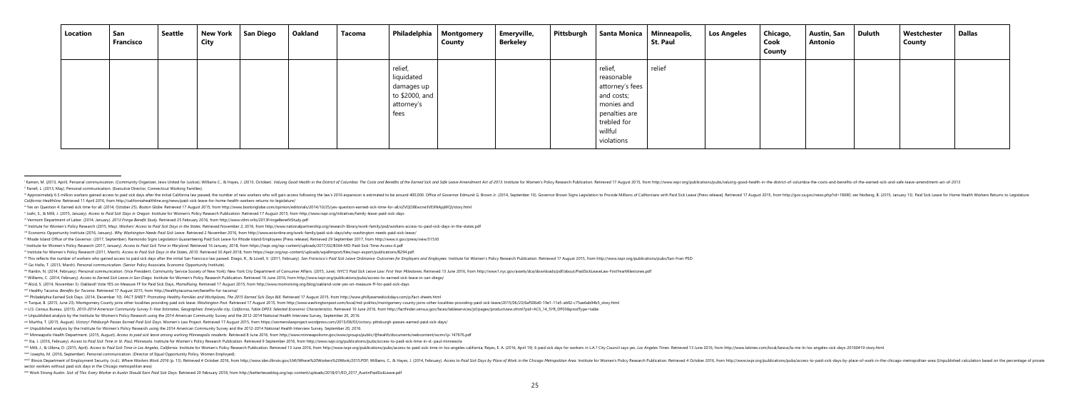| Location | San<br><b>Francisco</b> | Seattle | <b>New York</b><br><b>City</b> | San Diego | Oakland | <b>Tacoma</b> |                                                                             | Philadelphia   Montgomery<br>County | Emeryville,<br><b>Berkeley</b> | Pittsburgh | Santa Monica                                                                                                                  | Minneapolis,<br>St. Paul | <b>Los Angeles</b> | Chicago,<br>Cook<br><b>County</b> | <b>Austin, San</b><br>Antonio | Duluth | Westchester<br><b>County</b> | <b>Dallas</b> |
|----------|-------------------------|---------|--------------------------------|-----------|---------|---------------|-----------------------------------------------------------------------------|-------------------------------------|--------------------------------|------------|-------------------------------------------------------------------------------------------------------------------------------|--------------------------|--------------------|-----------------------------------|-------------------------------|--------|------------------------------|---------------|
|          |                         |         |                                |           |         |               | relief,<br>liquidated<br>damages up<br>to \$2000, and<br>attorney's<br>fees |                                     |                                |            | relief,<br>reasonable<br>attorney's fees<br>and costs;<br>monies and<br>penalties are<br>trebled for<br>willful<br>violations | relief                   |                    |                                   |                               |        |                              |               |

- ill Approximately 6.5 million workers gained access to paid sick days after the initial California law passed; the number of new workers who will gain access following the law's 2016 expansion is estimated to be around 400 *California Healthline.* Retrieved 11 April 2016, from http://californiahealthline.org/news/paid-sick-leave-for-home-health-workers-returns-to-legislature/
- iv Yes on Question 4: Earned sick time for all. (2014, October 25). Boston Globe. Retrieved 17 August 2015, from http://www.bostonglobe.com/opinion/editorials/2014/10/25/yes-question-earned-sick-time-for-all/xZVQO8Ewcne3VE
- y Joshi, S., & Milli, J. (2015, January). Access to Paid Sick Days in Oregon. Institute for Women's Policy Research Publication. Retrieved 17 August 2015, from http://www.iwpr.org/initiatives/family-leave-paid-sick-days
- vi Vermont Department of Labor. (2014, January). *2013 Fringe Benefit Study*. Retrieved 25 February 2016, fro[m http://www.vtlmi.info/2013FringeBenefitStudy.pdf](http://www.vtlmi.info/2013FringeBenefitStudy.pdf)
- vii Institute for Women's Policy Research (2015, May). Workers' Access to Paid Sick Days in the States. Retrieved November 2, 2016, from http://www.nationalpartnership.org/research-library/work-family/psd/workers-access-to
- viii Economic Opportunity Institute (2016, January). Why Washington Needs Paid Sick Leave. Retrieved 2 November 2016, fro[m http://www.eoionline.org/work-family/paid-sick-days/why-washington-needs-paid-sick-leave/](http://www.eoionline.org/work-family/paid-sick-days/why-washington-needs-paid-sick-leave/)
- ix Rhode Island Office of the Governor. (2017, September). Raimondo Signs Legislation Guaranteeing Paid Sick Leave for Rhode Island Employees [Press release]. Retrieved 29 September 2017, from http://www.ri.gov/press/view/
- x Institute for Women's Policy Research (2017, January). *Access to Paid Sick Time in Maryland*. Retrieved 16 January, 2018, from https://iwpr.org/wp-content/uploads/2017/02/B364-MD-Paid-Sick-Time-Access-6.pdf
- xi Institute for Women's Policy Research (2011, March). Access to Paid Sick Days in the States, 2010. Retrieved 30 April 2018, from https://iwpr.org/wp-content/uploads/wpallimport/files/iwpr-export/publications/B294.pdf.
- xii This reflects the number of workers who gained access to paid sick days after the initial San Francisco law passed. Drago, R., & Lovell, V. (2011, February). San Francisco's Paid Sick Leave Ordinance: Outcomes for Empl

xiii Go Hollo, T. (2013, March). Personal communication. (Senior Policy Associate, Economic Opportunity Institute).

- xiv Rankin, N. (2014, February). Personal communication. (Vice President, Community Service Society of New York); New York City Department of Consumer Affairs. (2015, June). NYC'S Paid Sick Leave Law: First Year Milestones w Williams, C. (2014, February). Access to Earned Sick Leave in San Diego. Institute for Women's Policy Research Publication. Retrieved 16 June 2016, from http://www.iwpr.org/publications/pubs/access-to-earned-sick-leave-i
- xvi Alcid, S. (2014, November 3). Oakland! Vote YES on Measure FF for Paid Sick Days**.** *MomsRising.* Retrieved 17 August 2015, from <http://www.momsrising.org/blog/oakland-vote-yes-on-measure-ff-for-paid-sick-days>
- xvii Healthy Tacoma. *Benefits for Tacoma*. Retrieved 17 August 2015, fro[m http://healthytacoma.net/benefits-for-tacoma/](http://healthytacoma.net/benefits-for-tacoma/)
- xviii Philadelphia Earned Sick Days. (2014, December 10). FACT SHEET: Promoting Healthy Families and Workplaces, The 2015 Earned Sick Days Bill. Retrieved 17 August 2015, from http://www.phillyearnedsickdays.com/p/fact-she
- xix Turque, B. (2015, June 23). Montgomery County joins other localities providing paid sick leave. Washington Post. Retrieved 17 August 2015, from http://www.washingtonpost.com/local/md-politics/montgomery-county-joins-ot
- xx U.S. Census Bureau. (2015). 2010-2014 American Community Survey 5-Year Estimates, Geographies: Emeryville city, California, Table DP03: Selected Economic Characteristics. Retrieved 10 June 2016, from http://factfinder.c
- xxi Unpublished analysis by the Institute for Women's Policy Research using the 2014 American Community Survey and the 2012-2014 National Health Interview Survey, September 20, 2016.
- xxii Murtha, T. (2015, August). Victory! [Pittsburgh](https://womenslawproject.wordpress.com/2015/08/03/victory-pittsburgh-passes-earned-paid-sick-days/) Passes Earned Paid Sick Days. Women's Law Project. Retrieved 17 August 2015, from https://womenslawproject.wordpress.com/2015/08/03/victory-pittsburgh-passes-earned-paid-
- xxiii Unpublished analysis by the Institute for Women's Policy Research using the 2014 American Community Survey and the 2012-2014 National Health Interview Survey, September 20, 2016.
- xxiv Minneapolis Health Department. (2015, August). Access to paid sick leave among working Minneapolis residents. Retrieved 8 June 2016, from http://www.minneapolismn.gov/www/groups/public/@health/documents/webcontent/wcm
- xxv Xia, J. (2016, February). Access to Paid Sick Time in St. Paul, Minnesota. Institute for Women's Policy Research Publication. Retrieved 9 September 2016, from http://www.iwpr.org/publications/pubs/access-to-paid-sick-t
- xxvi Milli, J., & Ulbina, D. (2015, April). Access to Paid Sick Time in Los Angeles, California. Institute for Women's Policy Research Publication. Retrieved 13 June 2016, from http://www.iwpr.org/publications/pubs/access-
- xxvii Josephs, M. (2016, September). Personal communication. (Director of Equal Opportunity Policy, Women Employed).
- <sup>2006</sup> lllinois Department of Employment Security. (n.d.). Where Workers Work 2016 (p. 13). Retrieved 4 October 2016, from http://www.ides.illinois.gov/LMI/Where%20Work/2015.PDF; Williams, C., & Hayes, J. (2014, February). sector workers without paid sick days in the Chicago metropolitan area)
- xxix Work Strong Austin. Sick of This: Every Worker in Austin Should Earn Paid Sick Days. Retrieved 20 February 2018, from http://bettertexasblog.org/wp-content/uploads/2018/01/EO\_2017\_AustinPaidSickLeave.pdf

<sup>&</sup>lt;sup>1</sup> Kamen, M. (2013, April). Personal communication. (Community Organizer, Jews United for Justice); Williams C., & Hayes, J. (2013, October). Valuing Good Health in the District of Columbia: The Costs and Benefits of the ii Farrell, L. (2013, May). Personal communication. (Executive Director, Connecticut Working Families).